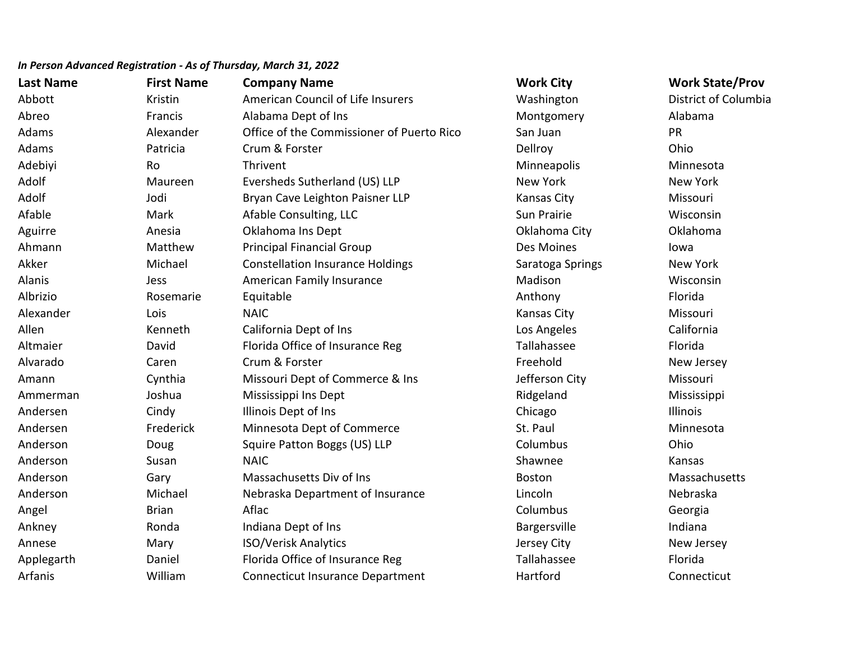| <b>Last Name</b> | <b>First Name</b> | <b>Company Name</b>                       | <b>Work City</b> | <b>Work State/Prov</b> |
|------------------|-------------------|-------------------------------------------|------------------|------------------------|
| Abbott           | Kristin           | American Council of Life Insurers         | Washington       | District of Columbia   |
| Abreo            | Francis           | Alabama Dept of Ins                       | Montgomery       | Alabama                |
| Adams            | Alexander         | Office of the Commissioner of Puerto Rico | San Juan         | <b>PR</b>              |
| Adams            | Patricia          | Crum & Forster                            | Dellroy          | Ohio                   |
| Adebiyi          | Ro                | Thrivent                                  | Minneapolis      | Minnesota              |
| Adolf            | Maureen           | Eversheds Sutherland (US) LLP             | New York         | New York               |
| Adolf            | Jodi              | Bryan Cave Leighton Paisner LLP           | Kansas City      | Missouri               |
| Afable           | Mark              | Afable Consulting, LLC                    | Sun Prairie      | Wisconsin              |
| Aguirre          | Anesia            | Oklahoma Ins Dept                         | Oklahoma City    | Oklahoma               |
| Ahmann           | Matthew           | <b>Principal Financial Group</b>          | Des Moines       | lowa                   |
| Akker            | Michael           | <b>Constellation Insurance Holdings</b>   | Saratoga Springs | New York               |
| Alanis           | Jess              | American Family Insurance                 | Madison          | Wisconsin              |
| Albrizio         | Rosemarie         | Equitable                                 | Anthony          | Florida                |
| Alexander        | Lois              | <b>NAIC</b>                               | Kansas City      | Missouri               |
| Allen            | Kenneth           | California Dept of Ins                    | Los Angeles      | California             |
| Altmaier         | David             | Florida Office of Insurance Reg           | Tallahassee      | Florida                |
| Alvarado         | Caren             | Crum & Forster                            | Freehold         | New Jersey             |
| Amann            | Cynthia           | Missouri Dept of Commerce & Ins           | Jefferson City   | Missouri               |
| Ammerman         | Joshua            | Mississippi Ins Dept                      | Ridgeland        | Mississippi            |
| Andersen         | Cindy             | Illinois Dept of Ins                      | Chicago          | Illinois               |
| Andersen         | Frederick         | Minnesota Dept of Commerce                | St. Paul         | Minnesota              |
| Anderson         | Doug              | Squire Patton Boggs (US) LLP              | Columbus         | Ohio                   |
| Anderson         | Susan             | <b>NAIC</b>                               | Shawnee          | Kansas                 |
| Anderson         | Gary              | Massachusetts Div of Ins                  | <b>Boston</b>    | Massachusetts          |
| Anderson         | Michael           | Nebraska Department of Insurance          | Lincoln          | Nebraska               |
| Angel            | <b>Brian</b>      | Aflac                                     | Columbus         | Georgia                |
| Ankney           | Ronda             | Indiana Dept of Ins                       | Bargersville     | Indiana                |
| Annese           | Mary              | <b>ISO/Verisk Analytics</b>               | Jersey City      | New Jersey             |
| Applegarth       | Daniel            | Florida Office of Insurance Reg           | Tallahassee      | Florida                |
| Arfanis          | William           | <b>Connecticut Insurance Department</b>   | Hartford         | Connecticut            |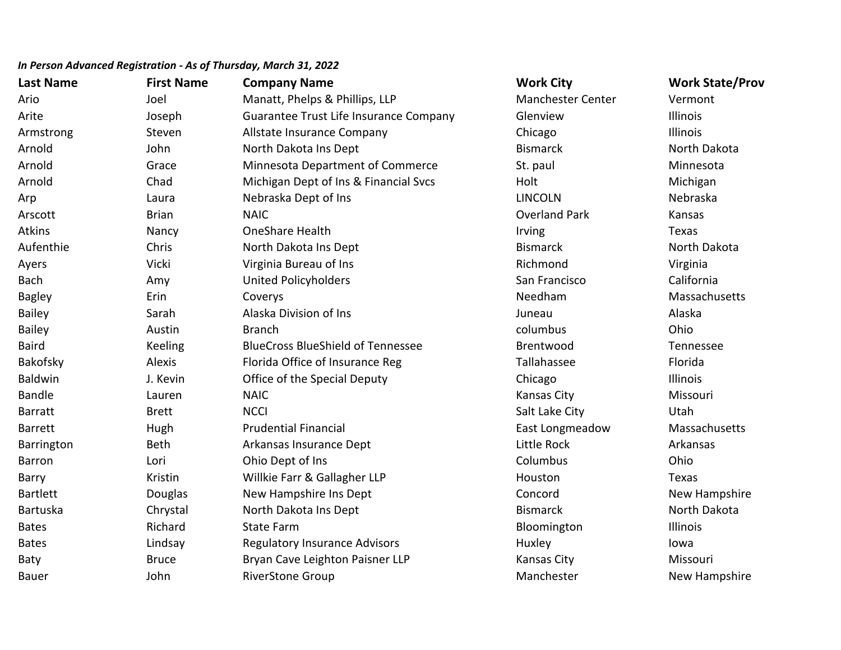| <b>Last Name</b> | <b>First Name</b> | <b>Company Name</b>                      | <b>Work City</b>         | <b>Work State/Prov</b> |
|------------------|-------------------|------------------------------------------|--------------------------|------------------------|
| Ario             | Joel              | Manatt, Phelps & Phillips, LLP           | <b>Manchester Center</b> | Vermont                |
| Arite            | Joseph            | Guarantee Trust Life Insurance Company   | Glenview                 | Illinois               |
| Armstrong        | Steven            | Allstate Insurance Company               | Chicago                  | Illinois               |
| Arnold           | John              | North Dakota Ins Dept                    | <b>Bismarck</b>          | North Dakota           |
| Arnold           | Grace             | Minnesota Department of Commerce         | St. paul                 | Minnesota              |
| Arnold           | Chad              | Michigan Dept of Ins & Financial Svcs    | Holt                     | Michigan               |
| Arp              | Laura             | Nebraska Dept of Ins                     | <b>LINCOLN</b>           | Nebraska               |
| Arscott          | <b>Brian</b>      | <b>NAIC</b>                              | <b>Overland Park</b>     | Kansas                 |
| <b>Atkins</b>    | Nancy             | <b>OneShare Health</b>                   | Irving                   | Texas                  |
| Aufenthie        | Chris             | North Dakota Ins Dept                    | <b>Bismarck</b>          | North Dakota           |
| Ayers            | Vicki             | Virginia Bureau of Ins                   | Richmond                 | Virginia               |
| Bach             | Amy               | <b>United Policyholders</b>              | San Francisco            | California             |
| <b>Bagley</b>    | Erin              | Coverys                                  | Needham                  | Massachusetts          |
| <b>Bailey</b>    | Sarah             | Alaska Division of Ins                   | Juneau                   | Alaska                 |
| <b>Bailey</b>    | Austin            | <b>Branch</b>                            | columbus                 | Ohio                   |
| <b>Baird</b>     | Keeling           | <b>BlueCross BlueShield of Tennessee</b> | Brentwood                | Tennessee              |
| Bakofsky         | Alexis            | Florida Office of Insurance Reg          | Tallahassee              | Florida                |
| <b>Baldwin</b>   | J. Kevin          | Office of the Special Deputy             | Chicago                  | Illinois               |
| <b>Bandle</b>    | Lauren            | <b>NAIC</b>                              | <b>Kansas City</b>       | Missouri               |
| <b>Barratt</b>   | <b>Brett</b>      | <b>NCCI</b>                              | Salt Lake City           | Utah                   |
| <b>Barrett</b>   | Hugh              | <b>Prudential Financial</b>              | East Longmeadow          | Massachusetts          |
| Barrington       | <b>Beth</b>       | Arkansas Insurance Dept                  | Little Rock              | Arkansas               |
| <b>Barron</b>    | Lori              | Ohio Dept of Ins                         | Columbus                 | Ohio                   |
| Barry            | Kristin           | Willkie Farr & Gallagher LLP             | Houston                  | Texas                  |
| Bartlett         | Douglas           | New Hampshire Ins Dept                   | Concord                  | New Hampshire          |
| Bartuska         | Chrystal          | North Dakota Ins Dept                    | <b>Bismarck</b>          | North Dakota           |
| <b>Bates</b>     | Richard           | <b>State Farm</b>                        | Bloomington              | Illinois               |
| <b>Bates</b>     | Lindsay           | <b>Regulatory Insurance Advisors</b>     | Huxley                   | lowa                   |
| Baty             | <b>Bruce</b>      | Bryan Cave Leighton Paisner LLP          | <b>Kansas City</b>       | Missouri               |
| <b>Bauer</b>     | John              | <b>RiverStone Group</b>                  | Manchester               | New Hampshire          |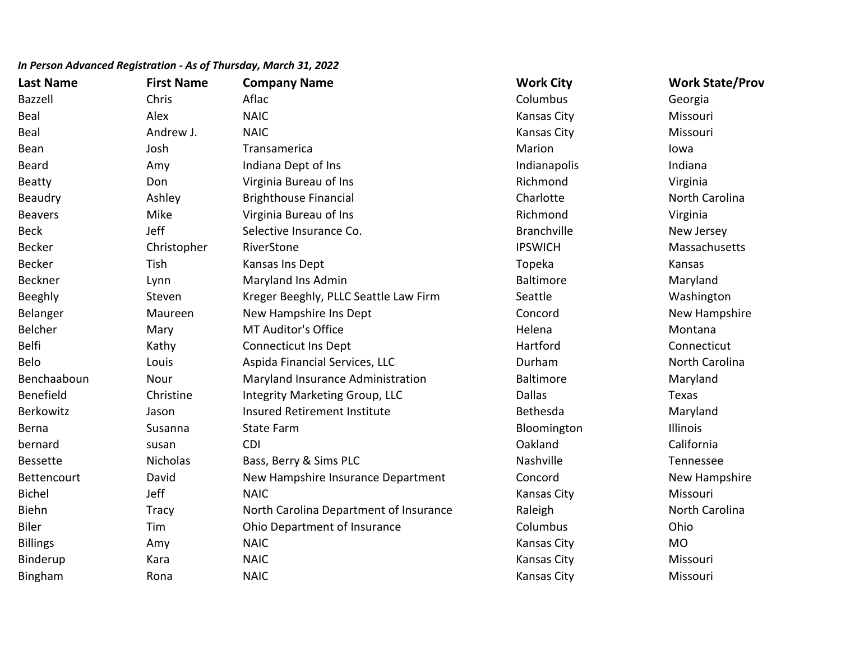| <b>Last Name</b> | <b>First Name</b> | <b>Company Name</b>                    | <b>Work City</b>   | <b>Work State/Prov</b> |
|------------------|-------------------|----------------------------------------|--------------------|------------------------|
| Bazzell          | Chris             | Aflac                                  | Columbus           | Georgia                |
| <b>Beal</b>      | Alex              | <b>NAIC</b>                            | Kansas City        | Missouri               |
| Beal             | Andrew J.         | <b>NAIC</b>                            | Kansas City        | Missouri               |
| Bean             | Josh              | Transamerica                           | Marion             | lowa                   |
| <b>Beard</b>     | Amy               | Indiana Dept of Ins                    | Indianapolis       | Indiana                |
| <b>Beatty</b>    | Don               | Virginia Bureau of Ins                 | Richmond           | Virginia               |
| Beaudry          | Ashley            | <b>Brighthouse Financial</b>           | Charlotte          | North Carolina         |
| <b>Beavers</b>   | Mike              | Virginia Bureau of Ins                 | Richmond           | Virginia               |
| <b>Beck</b>      | Jeff              | Selective Insurance Co.                | <b>Branchville</b> | New Jersey             |
| <b>Becker</b>    | Christopher       | RiverStone                             | <b>IPSWICH</b>     | Massachusetts          |
| <b>Becker</b>    | Tish              | Kansas Ins Dept                        | Topeka             | Kansas                 |
| Beckner          | Lynn              | Maryland Ins Admin                     | <b>Baltimore</b>   | Maryland               |
| Beeghly          | Steven            | Kreger Beeghly, PLLC Seattle Law Firm  | Seattle            | Washington             |
| Belanger         | Maureen           | New Hampshire Ins Dept                 | Concord            | New Hampshire          |
| Belcher          | Mary              | <b>MT Auditor's Office</b>             | Helena             | Montana                |
| <b>Belfi</b>     | Kathy             | <b>Connecticut Ins Dept</b>            | Hartford           | Connecticut            |
| Belo             | Louis             | Aspida Financial Services, LLC         | Durham             | North Carolina         |
| Benchaaboun      | Nour              | Maryland Insurance Administration      | <b>Baltimore</b>   | Maryland               |
| Benefield        | Christine         | <b>Integrity Marketing Group, LLC</b>  | <b>Dallas</b>      | Texas                  |
| Berkowitz        | Jason             | <b>Insured Retirement Institute</b>    | Bethesda           | Maryland               |
| Berna            | Susanna           | <b>State Farm</b>                      | Bloomington        | Illinois               |
| bernard          | susan             | <b>CDI</b>                             | Oakland            | California             |
| <b>Bessette</b>  | <b>Nicholas</b>   | Bass, Berry & Sims PLC                 | Nashville          | Tennessee              |
| Bettencourt      | David             | New Hampshire Insurance Department     | Concord            | New Hampshire          |
| <b>Bichel</b>    | Jeff              | <b>NAIC</b>                            | Kansas City        | Missouri               |
| <b>Biehn</b>     | <b>Tracy</b>      | North Carolina Department of Insurance | Raleigh            | North Carolina         |
| <b>Biler</b>     | Tim               | Ohio Department of Insurance           | Columbus           | Ohio                   |
| <b>Billings</b>  | Amy               | <b>NAIC</b>                            | Kansas City        | <b>MO</b>              |
| Binderup         | Kara              | <b>NAIC</b>                            | <b>Kansas City</b> | Missouri               |
| Bingham          | Rona              | <b>NAIC</b>                            | <b>Kansas City</b> | Missouri               |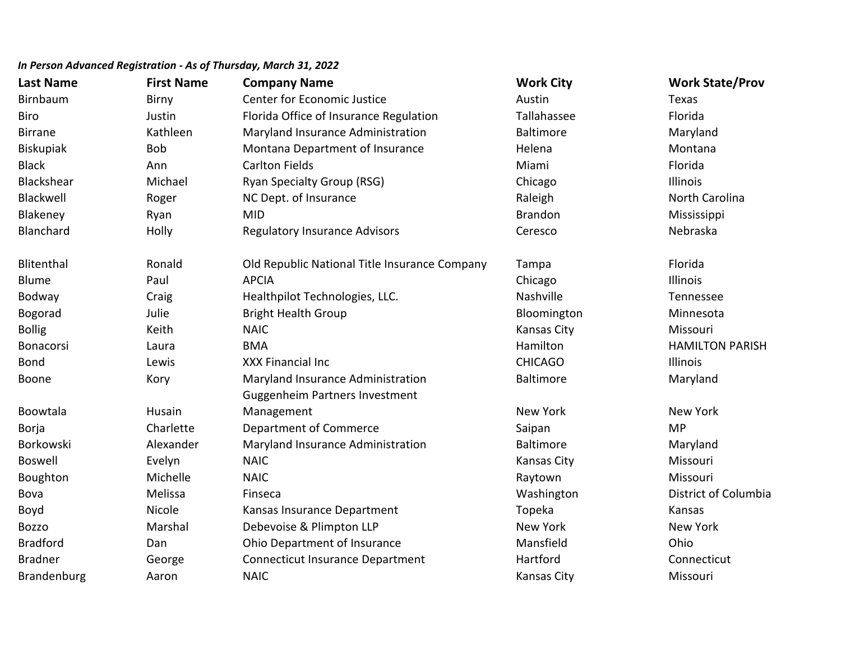| <b>Last Name</b> | <b>First Name</b> | <b>Company Name</b>                           | <b>Work City</b>   | <b>Work State/Prov</b> |
|------------------|-------------------|-----------------------------------------------|--------------------|------------------------|
| Birnbaum         | Birny             | <b>Center for Economic Justice</b>            | Austin             | Texas                  |
| <b>Biro</b>      | Justin            | Florida Office of Insurance Regulation        | Tallahassee        | Florida                |
| <b>Birrane</b>   | Kathleen          | Maryland Insurance Administration             | <b>Baltimore</b>   | Maryland               |
| <b>Biskupiak</b> | <b>Bob</b>        | Montana Department of Insurance               | Helena             | Montana                |
| <b>Black</b>     | Ann               | <b>Carlton Fields</b>                         | Miami              | Florida                |
| Blackshear       | Michael           | <b>Ryan Specialty Group (RSG)</b>             | Chicago            | Illinois               |
| Blackwell        | Roger             | NC Dept. of Insurance                         | Raleigh            | North Carolina         |
| Blakeney         | Ryan              | <b>MID</b>                                    | <b>Brandon</b>     | Mississippi            |
| Blanchard        | Holly             | <b>Regulatory Insurance Advisors</b>          | Ceresco            | Nebraska               |
| Blitenthal       | Ronald            | Old Republic National Title Insurance Company | Tampa              | Florida                |
| <b>Blume</b>     | Paul              | <b>APCIA</b>                                  | Chicago            | Illinois               |
| Bodway           | Craig             | Healthpilot Technologies, LLC.                | Nashville          | Tennessee              |
| Bogorad          | Julie             | <b>Bright Health Group</b>                    | Bloomington        | Minnesota              |
| <b>Bollig</b>    | Keith             | <b>NAIC</b>                                   | Kansas City        | Missouri               |
| Bonacorsi        | Laura             | <b>BMA</b>                                    | Hamilton           | <b>HAMILTON PARISH</b> |
| <b>Bond</b>      | Lewis             | XXX Financial Inc                             | <b>CHICAGO</b>     | Illinois               |
| Boone            | Kory              | Maryland Insurance Administration             | <b>Baltimore</b>   | Maryland               |
|                  |                   | <b>Guggenheim Partners Investment</b>         |                    |                        |
| Boowtala         | Husain            | Management                                    | <b>New York</b>    | <b>New York</b>        |
| Borja            | Charlette         | <b>Department of Commerce</b>                 | Saipan             | <b>MP</b>              |
| Borkowski        | Alexander         | Maryland Insurance Administration             | <b>Baltimore</b>   | Maryland               |
| <b>Boswell</b>   | Evelyn            | <b>NAIC</b>                                   | <b>Kansas City</b> | Missouri               |
| Boughton         | Michelle          | <b>NAIC</b>                                   | Raytown            | Missouri               |
| Bova             | Melissa           | Finseca                                       | Washington         | District of Columbia   |
| Boyd             | Nicole            | Kansas Insurance Department                   | Topeka             | Kansas                 |
| <b>Bozzo</b>     | Marshal           | Debevoise & Plimpton LLP                      | New York           | New York               |
| <b>Bradford</b>  | Dan               | Ohio Department of Insurance                  | Mansfield          | Ohio                   |
| <b>Bradner</b>   | George            | Connecticut Insurance Department              | Hartford           | Connecticut            |
| Brandenburg      | Aaron             | <b>NAIC</b>                                   | Kansas City        | Missouri               |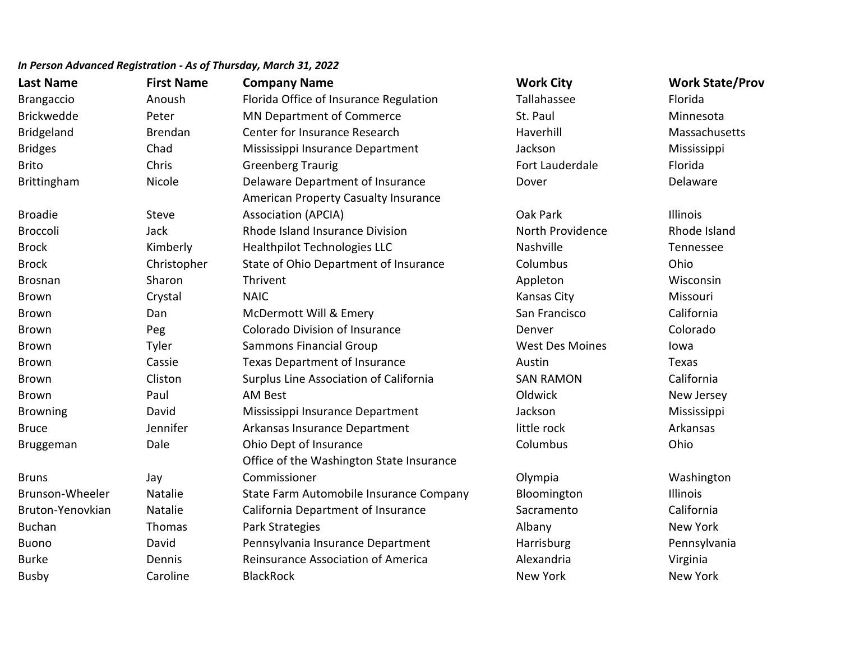| <b>Last Name</b>  | <b>First Name</b> | <b>Company Name</b>                      | <b>Work City</b>       | <b>Work State/Prov</b> |
|-------------------|-------------------|------------------------------------------|------------------------|------------------------|
| <b>Brangaccio</b> | Anoush            | Florida Office of Insurance Regulation   | Tallahassee            | Florida                |
| <b>Brickwedde</b> | Peter             | MN Department of Commerce                | St. Paul               | Minnesota              |
| Bridgeland        | <b>Brendan</b>    | Center for Insurance Research            | Haverhill              | Massachusetts          |
| <b>Bridges</b>    | Chad              | Mississippi Insurance Department         | Jackson                | Mississippi            |
| <b>Brito</b>      | Chris             | <b>Greenberg Traurig</b>                 | Fort Lauderdale        | Florida                |
| Brittingham       | Nicole            | Delaware Department of Insurance         | Dover                  | Delaware               |
|                   |                   | American Property Casualty Insurance     |                        |                        |
| <b>Broadie</b>    | Steve             | <b>Association (APCIA)</b>               | Oak Park               | Illinois               |
| <b>Broccoli</b>   | Jack              | Rhode Island Insurance Division          | North Providence       | Rhode Island           |
| <b>Brock</b>      | Kimberly          | <b>Healthpilot Technologies LLC</b>      | Nashville              | Tennessee              |
| <b>Brock</b>      | Christopher       | State of Ohio Department of Insurance    | Columbus               | Ohio                   |
| Brosnan           | Sharon            | Thrivent                                 | Appleton               | Wisconsin              |
| <b>Brown</b>      | Crystal           | <b>NAIC</b>                              | Kansas City            | Missouri               |
| <b>Brown</b>      | Dan               | McDermott Will & Emery                   | San Francisco          | California             |
| <b>Brown</b>      | Peg               | <b>Colorado Division of Insurance</b>    | Denver                 | Colorado               |
| <b>Brown</b>      | Tyler             | <b>Sammons Financial Group</b>           | <b>West Des Moines</b> | lowa                   |
| <b>Brown</b>      | Cassie            | Texas Department of Insurance            | Austin                 | Texas                  |
| <b>Brown</b>      | Cliston           | Surplus Line Association of California   | <b>SAN RAMON</b>       | California             |
| <b>Brown</b>      | Paul              | <b>AM Best</b>                           | Oldwick                | New Jersey             |
| <b>Browning</b>   | David             | Mississippi Insurance Department         | Jackson                | Mississippi            |
| <b>Bruce</b>      | Jennifer          | Arkansas Insurance Department            | little rock            | Arkansas               |
| Bruggeman         | Dale              | Ohio Dept of Insurance                   | Columbus               | Ohio                   |
|                   |                   | Office of the Washington State Insurance |                        |                        |
| <b>Bruns</b>      | Jay               | Commissioner                             | Olympia                | Washington             |
| Brunson-Wheeler   | <b>Natalie</b>    | State Farm Automobile Insurance Company  | Bloomington            | Illinois               |
| Bruton-Yenovkian  | Natalie           | California Department of Insurance       | Sacramento             | California             |
| <b>Buchan</b>     | Thomas            | Park Strategies                          | Albany                 | <b>New York</b>        |
| <b>Buono</b>      | David             | Pennsylvania Insurance Department        | Harrisburg             | Pennsylvania           |
| <b>Burke</b>      | Dennis            | Reinsurance Association of America       | Alexandria             | Virginia               |
| <b>Busby</b>      | Caroline          | <b>BlackRock</b>                         | New York               | <b>New York</b>        |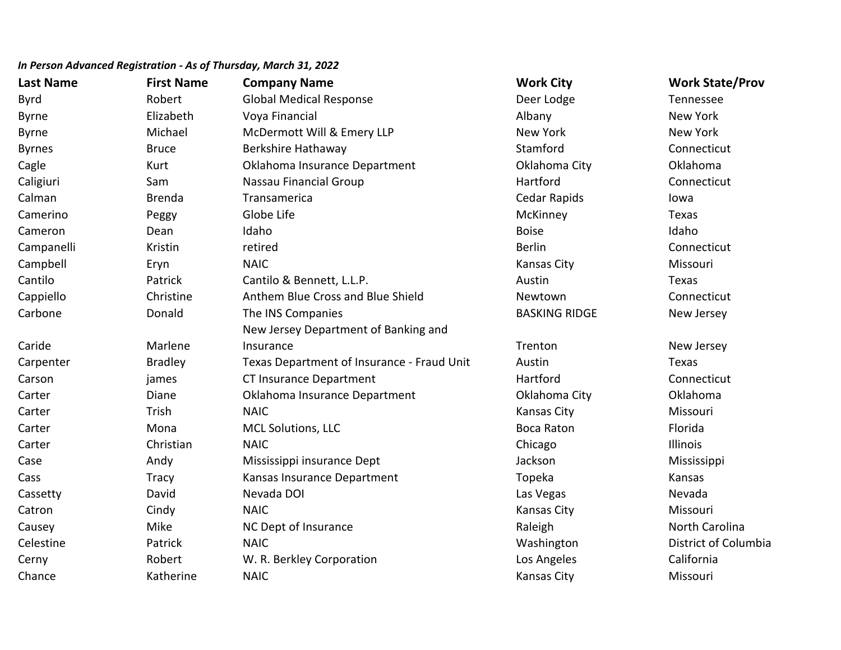| <b>Last Name</b> | <b>First Name</b> | <b>Company Name</b>                        | <b>Work City</b>     | <b>Work State/Prov</b> |
|------------------|-------------------|--------------------------------------------|----------------------|------------------------|
| <b>Byrd</b>      | Robert            | <b>Global Medical Response</b>             | Deer Lodge           | Tennessee              |
| <b>Byrne</b>     | Elizabeth         | Voya Financial                             | Albany               | New York               |
| <b>Byrne</b>     | Michael           | McDermott Will & Emery LLP                 | New York             | <b>New York</b>        |
| <b>Byrnes</b>    | <b>Bruce</b>      | Berkshire Hathaway                         | Stamford             | Connecticut            |
| Cagle            | Kurt              | Oklahoma Insurance Department              | Oklahoma City        | Oklahoma               |
| Caligiuri        | Sam               | Nassau Financial Group                     | Hartford             | Connecticut            |
| Calman           | <b>Brenda</b>     | Transamerica                               | <b>Cedar Rapids</b>  | lowa                   |
| Camerino         | Peggy             | Globe Life                                 | McKinney             | Texas                  |
| Cameron          | Dean              | Idaho                                      | <b>Boise</b>         | Idaho                  |
| Campanelli       | Kristin           | retired                                    | <b>Berlin</b>        | Connecticut            |
| Campbell         | Eryn              | <b>NAIC</b>                                | <b>Kansas City</b>   | Missouri               |
| Cantilo          | Patrick           | Cantilo & Bennett, L.L.P.                  | Austin               | Texas                  |
| Cappiello        | Christine         | Anthem Blue Cross and Blue Shield          | Newtown              | Connecticut            |
| Carbone          | Donald            | The INS Companies                          | <b>BASKING RIDGE</b> | New Jersey             |
|                  |                   | New Jersey Department of Banking and       |                      |                        |
| Caride           | Marlene           | Insurance                                  | Trenton              | New Jersey             |
| Carpenter        | <b>Bradley</b>    | Texas Department of Insurance - Fraud Unit | Austin               | Texas                  |
| Carson           | james             | CT Insurance Department                    | Hartford             | Connecticut            |
| Carter           | Diane             | Oklahoma Insurance Department              | Oklahoma City        | Oklahoma               |
| Carter           | Trish             | <b>NAIC</b>                                | <b>Kansas City</b>   | Missouri               |
| Carter           | Mona              | <b>MCL Solutions, LLC</b>                  | <b>Boca Raton</b>    | Florida                |
| Carter           | Christian         | <b>NAIC</b>                                | Chicago              | Illinois               |
| Case             | Andy              | Mississippi insurance Dept                 | Jackson              | Mississippi            |
| Cass             | <b>Tracy</b>      | Kansas Insurance Department                | Topeka               | Kansas                 |
| Cassetty         | David             | Nevada DOI                                 | Las Vegas            | Nevada                 |
| Catron           | Cindy             | <b>NAIC</b>                                | Kansas City          | Missouri               |
| Causey           | Mike              | NC Dept of Insurance                       | Raleigh              | North Carolina         |
| Celestine        | Patrick           | <b>NAIC</b>                                | Washington           | District of Columbia   |
| Cerny            | Robert            | W. R. Berkley Corporation                  | Los Angeles          | California             |
| Chance           | Katherine         | <b>NAIC</b>                                | <b>Kansas City</b>   | Missouri               |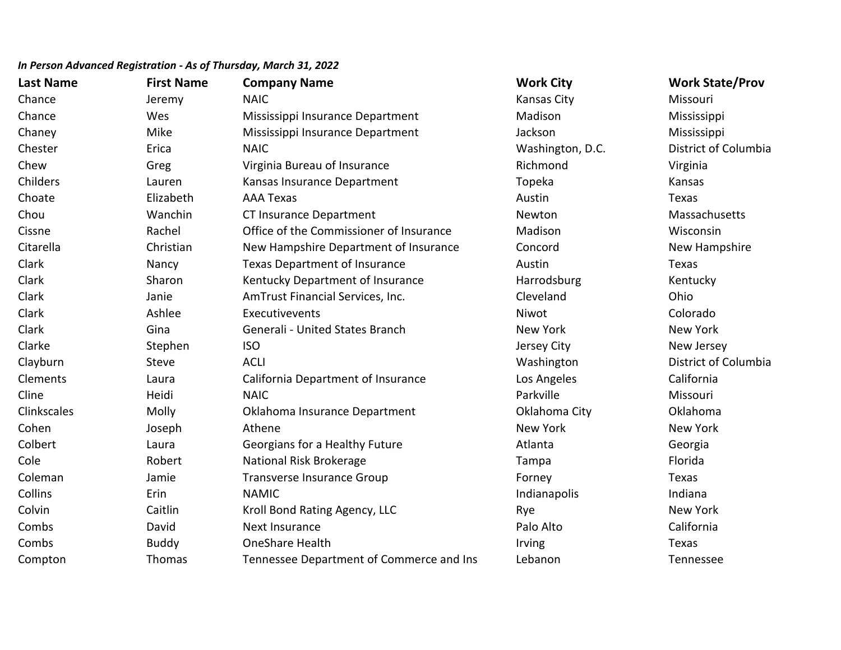| <b>Last Name</b> | <b>First Name</b> | <b>Company Name</b>                      | <b>Work City</b> | <b>Work State/Prov</b> |
|------------------|-------------------|------------------------------------------|------------------|------------------------|
| Chance           | Jeremy            | <b>NAIC</b>                              | Kansas City      | Missouri               |
| Chance           | Wes               | Mississippi Insurance Department         | Madison          | Mississippi            |
| Chaney           | Mike              | Mississippi Insurance Department         | Jackson          | Mississippi            |
| Chester          | Erica             | <b>NAIC</b>                              | Washington, D.C. | District of Columbia   |
| Chew             | Greg              | Virginia Bureau of Insurance             | Richmond         | Virginia               |
| Childers         | Lauren            | Kansas Insurance Department              | Topeka           | Kansas                 |
| Choate           | Elizabeth         | <b>AAA Texas</b>                         | Austin           | Texas                  |
| Chou             | Wanchin           | CT Insurance Department                  | Newton           | Massachusetts          |
| Cissne           | Rachel            | Office of the Commissioner of Insurance  | Madison          | Wisconsin              |
| Citarella        | Christian         | New Hampshire Department of Insurance    | Concord          | New Hampshire          |
| Clark            | Nancy             | Texas Department of Insurance            | Austin           | Texas                  |
| Clark            | Sharon            | Kentucky Department of Insurance         | Harrodsburg      | Kentucky               |
| Clark            | Janie             | AmTrust Financial Services, Inc.         | Cleveland        | Ohio                   |
| Clark            | Ashlee            | Executivevents                           | Niwot            | Colorado               |
| Clark            | Gina              | Generali - United States Branch          | New York         | New York               |
| Clarke           | Stephen           | <b>ISO</b>                               | Jersey City      | New Jersey             |
| Clayburn         | <b>Steve</b>      | <b>ACLI</b>                              | Washington       | District of Columbia   |
| Clements         | Laura             | California Department of Insurance       | Los Angeles      | California             |
| Cline            | Heidi             | <b>NAIC</b>                              | Parkville        | Missouri               |
| Clinkscales      | Molly             | Oklahoma Insurance Department            | Oklahoma City    | Oklahoma               |
| Cohen            | Joseph            | Athene                                   | New York         | New York               |
| Colbert          | Laura             | Georgians for a Healthy Future           | Atlanta          | Georgia                |
| Cole             | Robert            | National Risk Brokerage                  | Tampa            | Florida                |
| Coleman          | Jamie             | Transverse Insurance Group               | Forney           | Texas                  |
| Collins          | Erin              | <b>NAMIC</b>                             | Indianapolis     | Indiana                |
| Colvin           | Caitlin           | Kroll Bond Rating Agency, LLC            | Rye              | New York               |
| Combs            | David             | Next Insurance                           | Palo Alto        | California             |
| Combs            | <b>Buddy</b>      | <b>OneShare Health</b>                   | Irving           | Texas                  |
| Compton          | Thomas            | Tennessee Department of Commerce and Ins | Lebanon          | Tennessee              |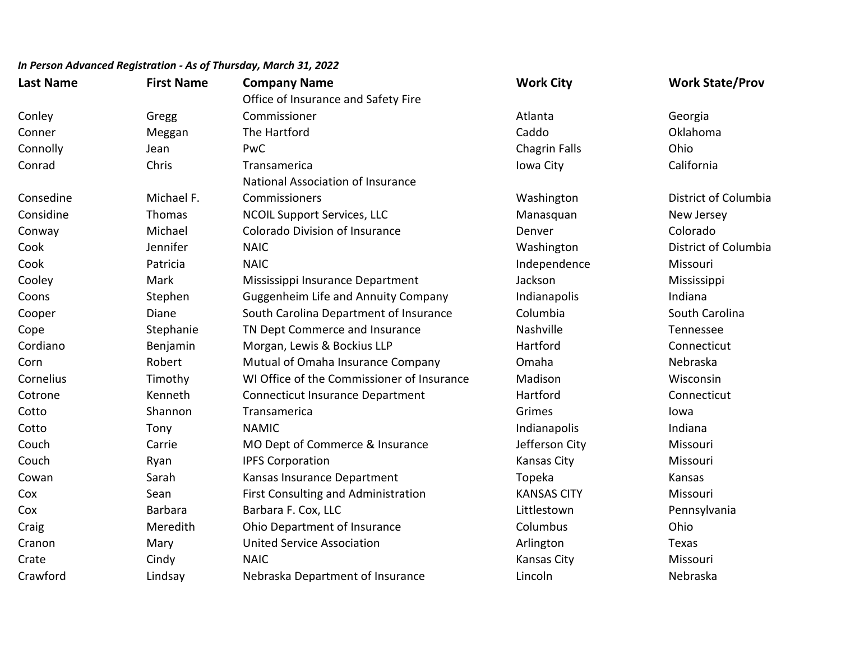| <b>Last Name</b> | <b>First Name</b> | <b>Company Name</b>                        | <b>Work City</b>     | <b>Work State/Prov</b> |
|------------------|-------------------|--------------------------------------------|----------------------|------------------------|
|                  |                   | Office of Insurance and Safety Fire        |                      |                        |
| Conley           | Gregg             | Commissioner                               | Atlanta              | Georgia                |
| Conner           | Meggan            | The Hartford                               | Caddo                | Oklahoma               |
| Connolly         | Jean              | PwC                                        | <b>Chagrin Falls</b> | Ohio                   |
| Conrad           | Chris             | Transamerica                               | Iowa City            | California             |
|                  |                   | National Association of Insurance          |                      |                        |
| Consedine        | Michael F.        | Commissioners                              | Washington           | District of Columbia   |
| Considine        | Thomas            | <b>NCOIL Support Services, LLC</b>         | Manasquan            | New Jersey             |
| Conway           | Michael           | <b>Colorado Division of Insurance</b>      | Denver               | Colorado               |
| Cook             | Jennifer          | <b>NAIC</b>                                | Washington           | District of Columbia   |
| Cook             | Patricia          | <b>NAIC</b>                                | Independence         | Missouri               |
| Cooley           | Mark              | Mississippi Insurance Department           | Jackson              | Mississippi            |
| Coons            | Stephen           | <b>Guggenheim Life and Annuity Company</b> | Indianapolis         | Indiana                |
| Cooper           | Diane             | South Carolina Department of Insurance     | Columbia             | South Carolina         |
| Cope             | Stephanie         | TN Dept Commerce and Insurance             | Nashville            | Tennessee              |
| Cordiano         | Benjamin          | Morgan, Lewis & Bockius LLP                | Hartford             | Connecticut            |
| Corn             | Robert            | Mutual of Omaha Insurance Company          | Omaha                | Nebraska               |
| Cornelius        | Timothy           | WI Office of the Commissioner of Insurance | Madison              | Wisconsin              |
| Cotrone          | Kenneth           | <b>Connecticut Insurance Department</b>    | Hartford             | Connecticut            |
| Cotto            | Shannon           | Transamerica                               | Grimes               | lowa                   |
| Cotto            | Tony              | <b>NAMIC</b>                               | Indianapolis         | Indiana                |
| Couch            | Carrie            | MO Dept of Commerce & Insurance            | Jefferson City       | Missouri               |
| Couch            | Ryan              | <b>IPFS Corporation</b>                    | <b>Kansas City</b>   | Missouri               |
| Cowan            | Sarah             | Kansas Insurance Department                | Topeka               | Kansas                 |
| Cox              | Sean              | First Consulting and Administration        | <b>KANSAS CITY</b>   | Missouri               |
| Cox              | <b>Barbara</b>    | Barbara F. Cox, LLC                        | Littlestown          | Pennsylvania           |
| Craig            | Meredith          | Ohio Department of Insurance               | Columbus             | Ohio                   |
| Cranon           | Mary              | <b>United Service Association</b>          | Arlington            | Texas                  |
| Crate            | Cindy             | <b>NAIC</b>                                | <b>Kansas City</b>   | Missouri               |
| Crawford         | Lindsay           | Nebraska Department of Insurance           | Lincoln              | Nebraska               |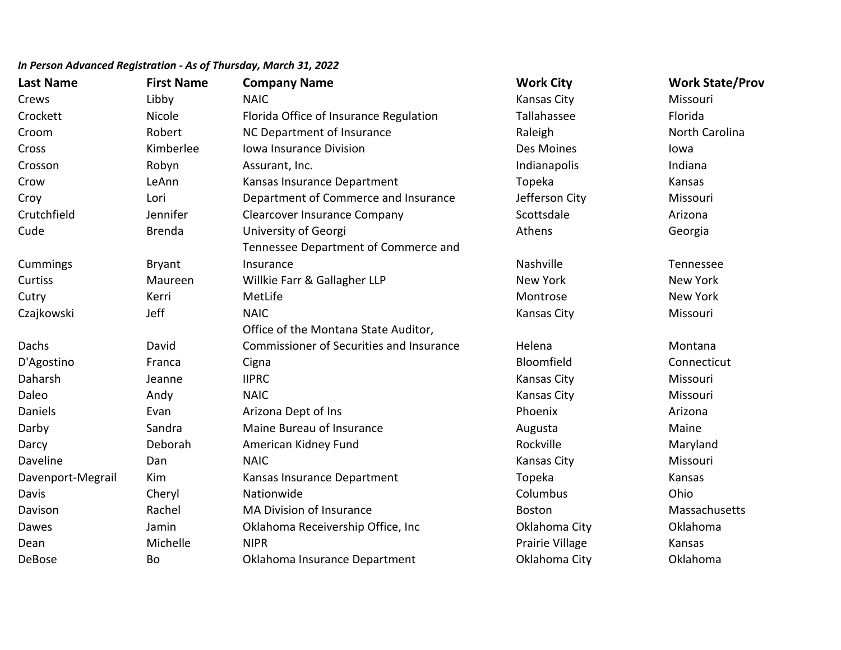| <b>Last Name</b>  | <b>First Name</b> | <b>Company Name</b>                             | <b>Work City</b>   | <b>Work State/Prov</b> |
|-------------------|-------------------|-------------------------------------------------|--------------------|------------------------|
| Crews             | Libby             | <b>NAIC</b>                                     | Kansas City        | Missouri               |
| Crockett          | Nicole            | Florida Office of Insurance Regulation          | Tallahassee        | Florida                |
| Croom             | Robert            | NC Department of Insurance                      | Raleigh            | North Carolina         |
| Cross             | Kimberlee         | Iowa Insurance Division                         | Des Moines         | lowa                   |
| Crosson           | Robyn             | Assurant, Inc.                                  | Indianapolis       | Indiana                |
| Crow              | LeAnn             | Kansas Insurance Department                     | Topeka             | Kansas                 |
| Croy              | Lori              | Department of Commerce and Insurance            | Jefferson City     | Missouri               |
| Crutchfield       | Jennifer          | <b>Clearcover Insurance Company</b>             | Scottsdale         | Arizona                |
| Cude              | <b>Brenda</b>     | University of Georgi                            | Athens             | Georgia                |
|                   |                   | Tennessee Department of Commerce and            |                    |                        |
| Cummings          | <b>Bryant</b>     | Insurance                                       | Nashville          | Tennessee              |
| Curtiss           | Maureen           | Willkie Farr & Gallagher LLP                    | <b>New York</b>    | New York               |
| Cutry             | Kerri             | MetLife                                         | Montrose           | New York               |
| Czajkowski        | Jeff              | <b>NAIC</b>                                     | <b>Kansas City</b> | Missouri               |
|                   |                   | Office of the Montana State Auditor,            |                    |                        |
| Dachs             | David             | <b>Commissioner of Securities and Insurance</b> | Helena             | Montana                |
| D'Agostino        | Franca            | Cigna                                           | Bloomfield         | Connecticut            |
| Daharsh           | Jeanne            | <b>IIPRC</b>                                    | <b>Kansas City</b> | Missouri               |
| Daleo             | Andy              | <b>NAIC</b>                                     | <b>Kansas City</b> | Missouri               |
| Daniels           | Evan              | Arizona Dept of Ins                             | Phoenix            | Arizona                |
| Darby             | Sandra            | Maine Bureau of Insurance                       | Augusta            | Maine                  |
| Darcy             | Deborah           | American Kidney Fund                            | Rockville          | Maryland               |
| Daveline          | Dan               | <b>NAIC</b>                                     | <b>Kansas City</b> | Missouri               |
| Davenport-Megrail | Kim               | Kansas Insurance Department                     | Topeka             | Kansas                 |
| Davis             | Cheryl            | Nationwide                                      | Columbus           | Ohio                   |
| Davison           | Rachel            | MA Division of Insurance                        | <b>Boston</b>      | Massachusetts          |
| Dawes             | Jamin             | Oklahoma Receivership Office, Inc               | Oklahoma City      | Oklahoma               |
| Dean              | Michelle          | <b>NIPR</b>                                     | Prairie Village    | Kansas                 |
| DeBose            | Bo                | Oklahoma Insurance Department                   | Oklahoma City      | Oklahoma               |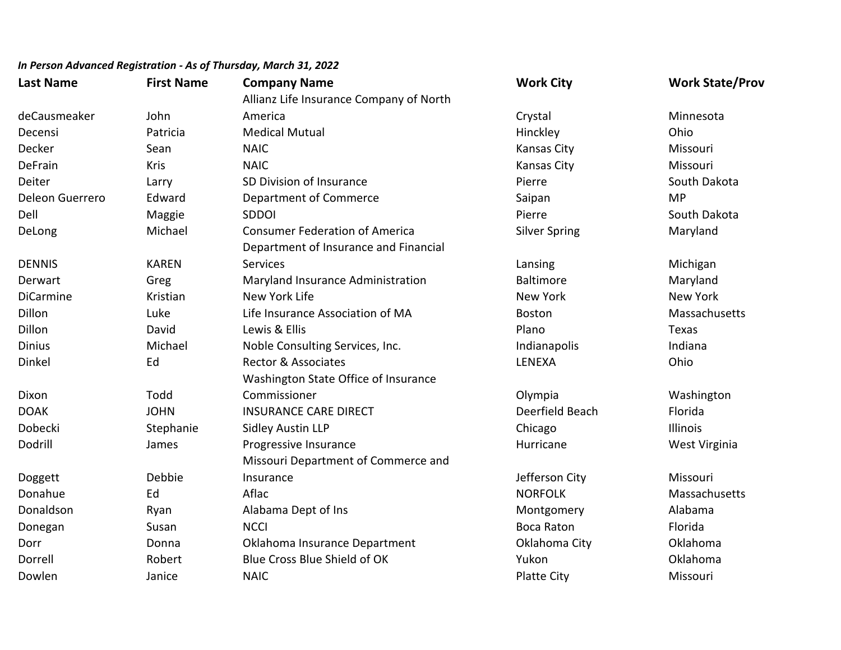| <b>Last Name</b> | <b>First Name</b> | <b>Company Name</b>                     | <b>Work City</b>     | <b>Work State/Prov</b> |
|------------------|-------------------|-----------------------------------------|----------------------|------------------------|
|                  |                   | Allianz Life Insurance Company of North |                      |                        |
| deCausmeaker     | John              | America                                 | Crystal              | Minnesota              |
| Decensi          | Patricia          | <b>Medical Mutual</b>                   | Hinckley             | Ohio                   |
| Decker           | Sean              | <b>NAIC</b>                             | Kansas City          | Missouri               |
| DeFrain          | Kris              | <b>NAIC</b>                             | <b>Kansas City</b>   | Missouri               |
| Deiter           | Larry             | SD Division of Insurance                | Pierre               | South Dakota           |
| Deleon Guerrero  | Edward            | Department of Commerce                  | Saipan               | <b>MP</b>              |
| Dell             | Maggie            | <b>SDDOI</b>                            | Pierre               | South Dakota           |
| DeLong           | Michael           | <b>Consumer Federation of America</b>   | <b>Silver Spring</b> | Maryland               |
|                  |                   | Department of Insurance and Financial   |                      |                        |
| <b>DENNIS</b>    | <b>KAREN</b>      | Services                                | Lansing              | Michigan               |
| Derwart          | Greg              | Maryland Insurance Administration       | <b>Baltimore</b>     | Maryland               |
| <b>DiCarmine</b> | Kristian          | New York Life                           | <b>New York</b>      | <b>New York</b>        |
| Dillon           | Luke              | Life Insurance Association of MA        | <b>Boston</b>        | Massachusetts          |
| Dillon           | David             | Lewis & Ellis                           | Plano                | Texas                  |
| <b>Dinius</b>    | Michael           | Noble Consulting Services, Inc.         | Indianapolis         | Indiana                |
| Dinkel           | Ed                | <b>Rector &amp; Associates</b>          | LENEXA               | Ohio                   |
|                  |                   | Washington State Office of Insurance    |                      |                        |
| Dixon            | Todd              | Commissioner                            | Olympia              | Washington             |
| <b>DOAK</b>      | <b>JOHN</b>       | <b>INSURANCE CARE DIRECT</b>            | Deerfield Beach      | Florida                |
| Dobecki          | Stephanie         | <b>Sidley Austin LLP</b>                | Chicago              | Illinois               |
| Dodrill          | James             | Progressive Insurance                   | Hurricane            | West Virginia          |
|                  |                   | Missouri Department of Commerce and     |                      |                        |
| Doggett          | Debbie            | Insurance                               | Jefferson City       | Missouri               |
| Donahue          | Ed                | Aflac                                   | <b>NORFOLK</b>       | Massachusetts          |
| Donaldson        | Ryan              | Alabama Dept of Ins                     | Montgomery           | Alabama                |
| Donegan          | Susan             | <b>NCCI</b>                             | <b>Boca Raton</b>    | Florida                |
| Dorr             | Donna             | Oklahoma Insurance Department           | Oklahoma City        | Oklahoma               |
| Dorrell          | Robert            | Blue Cross Blue Shield of OK            | Yukon                | Oklahoma               |
| Dowlen           | Janice            | <b>NAIC</b>                             | <b>Platte City</b>   | Missouri               |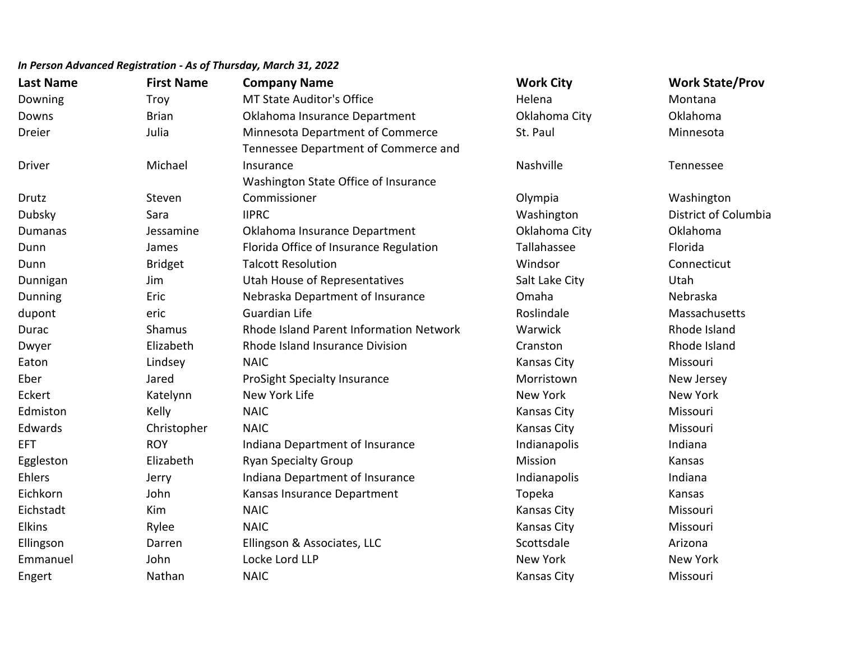| <b>Last Name</b> | <b>First Name</b> | <b>Company Name</b>                     | <b>Work City</b>   | <b>Work State/Prov</b> |
|------------------|-------------------|-----------------------------------------|--------------------|------------------------|
| Downing          | Troy              | <b>MT State Auditor's Office</b>        | Helena             | Montana                |
| Downs            | <b>Brian</b>      | Oklahoma Insurance Department           | Oklahoma City      | Oklahoma               |
| Dreier           | Julia             | Minnesota Department of Commerce        | St. Paul           | Minnesota              |
|                  |                   | Tennessee Department of Commerce and    |                    |                        |
| <b>Driver</b>    | Michael           | Insurance                               | Nashville          | Tennessee              |
|                  |                   | Washington State Office of Insurance    |                    |                        |
| Drutz            | Steven            | Commissioner                            | Olympia            | Washington             |
| Dubsky           | Sara              | <b>IIPRC</b>                            | Washington         | District of Columbia   |
| Dumanas          | Jessamine         | Oklahoma Insurance Department           | Oklahoma City      | Oklahoma               |
| Dunn             | James             | Florida Office of Insurance Regulation  | Tallahassee        | Florida                |
| Dunn             | <b>Bridget</b>    | <b>Talcott Resolution</b>               | Windsor            | Connecticut            |
| Dunnigan         | Jim               | Utah House of Representatives           | Salt Lake City     | Utah                   |
| <b>Dunning</b>   | Eric              | Nebraska Department of Insurance        | Omaha              | Nebraska               |
| dupont           | eric              | <b>Guardian Life</b>                    | Roslindale         | Massachusetts          |
| Durac            | Shamus            | Rhode Island Parent Information Network | Warwick            | Rhode Island           |
| Dwyer            | Elizabeth         | Rhode Island Insurance Division         | Cranston           | Rhode Island           |
| Eaton            | Lindsey           | <b>NAIC</b>                             | Kansas City        | Missouri               |
| Eber             | Jared             | <b>ProSight Specialty Insurance</b>     | Morristown         | New Jersey             |
| Eckert           | Katelynn          | New York Life                           | <b>New York</b>    | <b>New York</b>        |
| Edmiston         | Kelly             | <b>NAIC</b>                             | Kansas City        | Missouri               |
| Edwards          | Christopher       | <b>NAIC</b>                             | <b>Kansas City</b> | Missouri               |
| <b>EFT</b>       | <b>ROY</b>        | Indiana Department of Insurance         | Indianapolis       | Indiana                |
| Eggleston        | Elizabeth         | <b>Ryan Specialty Group</b>             | Mission            | Kansas                 |
| Ehlers           | Jerry             | Indiana Department of Insurance         | Indianapolis       | Indiana                |
| Eichkorn         | John              | Kansas Insurance Department             | Topeka             | Kansas                 |
| Eichstadt        | Kim               | <b>NAIC</b>                             | Kansas City        | Missouri               |
| <b>Elkins</b>    | Rylee             | <b>NAIC</b>                             | <b>Kansas City</b> | Missouri               |
| Ellingson        | Darren            | Ellingson & Associates, LLC             | Scottsdale         | Arizona                |
| Emmanuel         | John              | Locke Lord LLP                          | <b>New York</b>    | <b>New York</b>        |
| Engert           | Nathan            | <b>NAIC</b>                             | Kansas City        | Missouri               |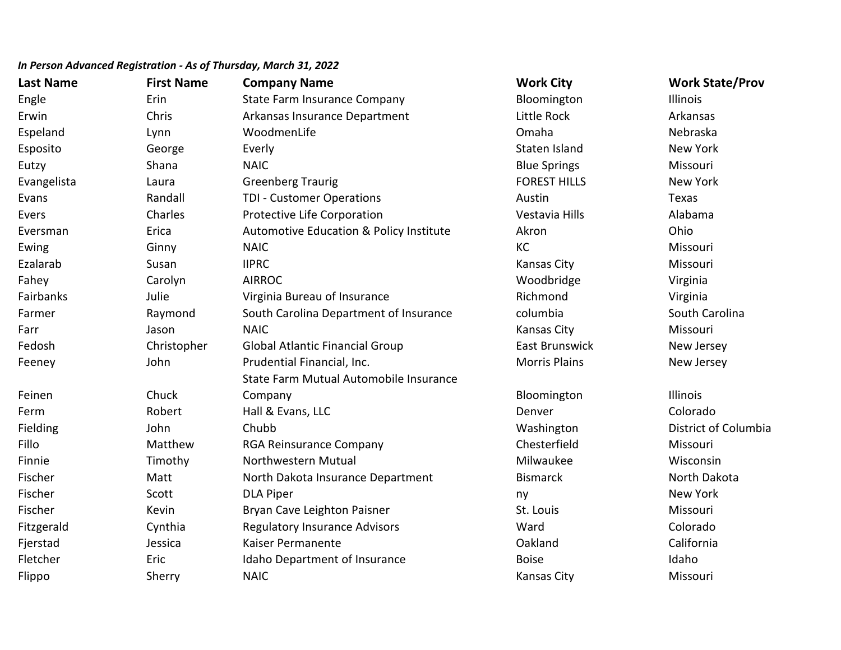# **Last Name First Name Company Name Work City Work State/Prov** Engle Erin Erin State Farm Insurance Company Bloomington Illinois Erwin **Erwin** Chris Chris Arkansas Insurance Department **Little Rock** Arkansas Espeland Lynn WoodmenLife Omaha Nebraska Esposito and George George Everly Staten Island Staten Island New York Eutzy Shana NAIC Blue Springs Missouri Evangelista Laura Greenberg Traurig FOREST HILLS New York Evans Texas Randall TDI - Customer Operations Texas Austin Austin Texas Evers **Exercity Charles** Protective Life Corporation **Constant Constant Constant Constant Constant Constant Charles Alabama** Eversman Erica Automotive Education & Policy Institute Akron Ohio Ewing Ginny RAIC Service Service Service Service Service Service Service Service Service Service Service Service Ezalarab Susan IIPRC Kansas City Missouri Fahey Carolyn AIRROC Woodbridge Virginia Fairbanks Julie Virginia Bureau of Insurance Richmond Virginia Farmer **Raymond** South Carolina Department of Insurance columbia South Carolina Farr Jason NAIC Kansas City Missouri Fedosh Christopher Global Atlantic Financial Group East Brunswick New Jersey Feeney **South America** John **Prudential Financial, Inc.** Morris Plains Morris Plains New Jersey Feinen Chuck State Farm Mutual Automobile Insurance Company Bloomington Illinois Ferm The Robert Hall & Evans, LLC **Reading the Colorado** Colorado Fielding **State of Columbia** Chubb Chubb Chubb Chubb Washington District of Columbia Fillo **Matthew RGA Reinsurance Company** Chesterfield Missouri Missouri Finnie 1986 – Timothy Northwestern Mutual Milwaukee Milwaukee Misconsin Fischer **1. Matt** Matt North Dakota Insurance Department Bismarck Bismarck North Dakota Fischer New York Communication of the DLA Piper number of the communication of the New York (New York Fischer **Kevin** Kevin Bryan Cave Leighton Paisner St. Louis St. Louis Missouri Fitzgerald Cynthia Regulatory Insurance Advisors Ward Colorado Fjerstad Jessica Kaiser Permanente Oakland California Fletcher Eric Eric Idaho Department of Insurance **Insurance** Boise Boise Idaho Idaho Flippo Sherry NAIC Shangers of the Sherry NAIC Shangers of the Shanes City Sherry Sherry Shangers and Missouri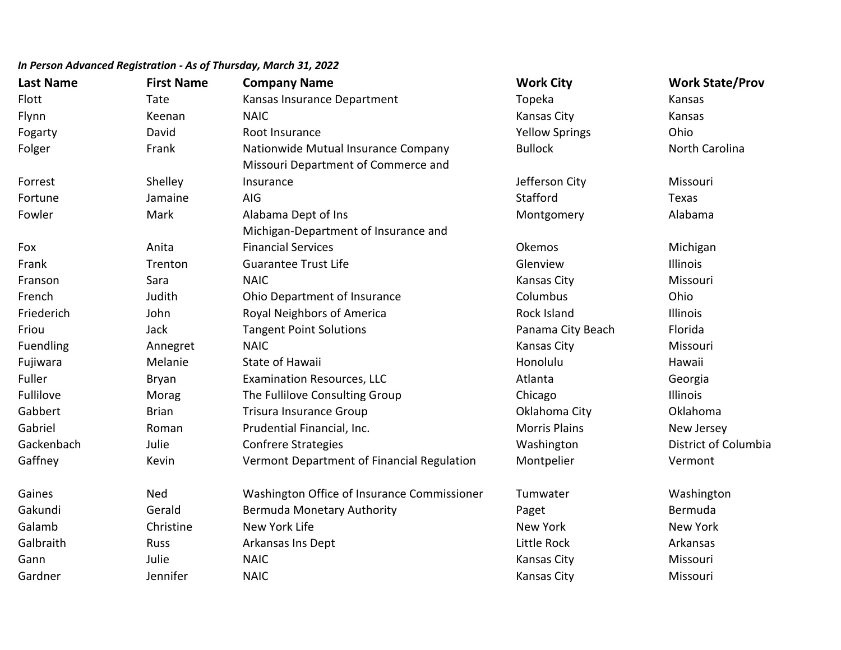| <b>Last Name</b> | <b>First Name</b> | <b>Company Name</b>                         | <b>Work City</b>      | <b>Work State/Prov</b> |
|------------------|-------------------|---------------------------------------------|-----------------------|------------------------|
| Flott            | Tate              | Kansas Insurance Department                 | Topeka                | Kansas                 |
| Flynn            | Keenan            | <b>NAIC</b>                                 | Kansas City           | Kansas                 |
| Fogarty          | David             | Root Insurance                              | <b>Yellow Springs</b> | Ohio                   |
| Folger           | Frank             | Nationwide Mutual Insurance Company         | <b>Bullock</b>        | North Carolina         |
|                  |                   | Missouri Department of Commerce and         |                       |                        |
| Forrest          | Shelley           | Insurance                                   | Jefferson City        | Missouri               |
| Fortune          | Jamaine           | AIG                                         | Stafford              | Texas                  |
| Fowler           | Mark              | Alabama Dept of Ins                         | Montgomery            | Alabama                |
|                  |                   | Michigan-Department of Insurance and        |                       |                        |
| Fox              | Anita             | <b>Financial Services</b>                   | Okemos                | Michigan               |
| Frank            | Trenton           | <b>Guarantee Trust Life</b>                 | Glenview              | Illinois               |
| Franson          | Sara              | <b>NAIC</b>                                 | <b>Kansas City</b>    | Missouri               |
| French           | Judith            | Ohio Department of Insurance                | Columbus              | Ohio                   |
| Friederich       | John              | Royal Neighbors of America                  | Rock Island           | Illinois               |
| Friou            | Jack              | <b>Tangent Point Solutions</b>              | Panama City Beach     | Florida                |
| Fuendling        | Annegret          | <b>NAIC</b>                                 | <b>Kansas City</b>    | Missouri               |
| Fujiwara         | Melanie           | <b>State of Hawaii</b>                      | Honolulu              | Hawaii                 |
| Fuller           | Bryan             | <b>Examination Resources, LLC</b>           | Atlanta               | Georgia                |
| Fullilove        | Morag             | The Fullilove Consulting Group              | Chicago               | Illinois               |
| Gabbert          | <b>Brian</b>      | <b>Trisura Insurance Group</b>              | Oklahoma City         | Oklahoma               |
| Gabriel          | Roman             | Prudential Financial, Inc.                  | <b>Morris Plains</b>  | New Jersey             |
| Gackenbach       | Julie             | <b>Confrere Strategies</b>                  | Washington            | District of Columbia   |
| Gaffney          | Kevin             | Vermont Department of Financial Regulation  | Montpelier            | Vermont                |
| Gaines           | <b>Ned</b>        | Washington Office of Insurance Commissioner | Tumwater              | Washington             |
| Gakundi          | Gerald            | <b>Bermuda Monetary Authority</b>           | Paget                 | Bermuda                |
| Galamb           | Christine         | New York Life                               | <b>New York</b>       | <b>New York</b>        |
| Galbraith        | Russ              | Arkansas Ins Dept                           | Little Rock           | Arkansas               |
| Gann             | Julie             | <b>NAIC</b>                                 | <b>Kansas City</b>    | Missouri               |
| Gardner          | Jennifer          | <b>NAIC</b>                                 | <b>Kansas City</b>    | Missouri               |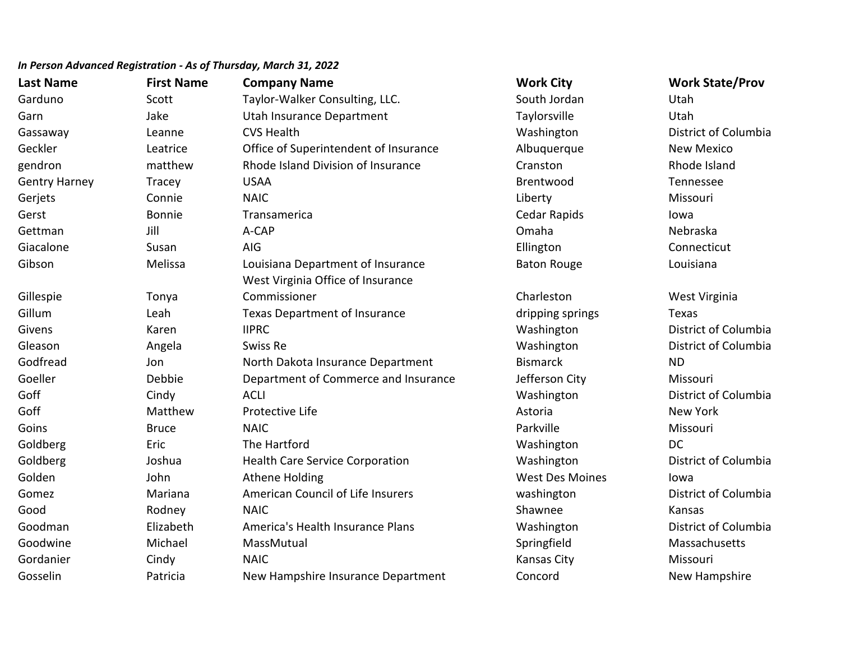| <b>Last Name</b>     | <b>First Name</b> | <b>Company Name</b>                    | <b>Work City</b>       | <b>Work State/Prov</b> |
|----------------------|-------------------|----------------------------------------|------------------------|------------------------|
| Garduno              | Scott             | Taylor-Walker Consulting, LLC.         | South Jordan           | Utah                   |
| Garn                 | Jake              | Utah Insurance Department              | Taylorsville           | Utah                   |
| Gassaway             | Leanne            | <b>CVS Health</b>                      | Washington             | District of Columbia   |
| Geckler              | Leatrice          | Office of Superintendent of Insurance  | Albuquerque            | <b>New Mexico</b>      |
| gendron              | matthew           | Rhode Island Division of Insurance     | Cranston               | Rhode Island           |
| <b>Gentry Harney</b> | <b>Tracey</b>     | <b>USAA</b>                            | Brentwood              | Tennessee              |
| Gerjets              | Connie            | <b>NAIC</b>                            | Liberty                | Missouri               |
| Gerst                | Bonnie            | Transamerica                           | Cedar Rapids           | lowa                   |
| Gettman              | Jill              | A-CAP                                  | Omaha                  | Nebraska               |
| Giacalone            | Susan             | AIG                                    | Ellington              | Connecticut            |
| Gibson               | Melissa           | Louisiana Department of Insurance      | <b>Baton Rouge</b>     | Louisiana              |
|                      |                   | West Virginia Office of Insurance      |                        |                        |
| Gillespie            | Tonya             | Commissioner                           | Charleston             | West Virginia          |
| Gillum               | Leah              | <b>Texas Department of Insurance</b>   | dripping springs       | <b>Texas</b>           |
| Givens               | Karen             | <b>IIPRC</b>                           | Washington             | District of Columbia   |
| Gleason              | Angela            | Swiss Re                               | Washington             | District of Columbia   |
| Godfread             | Jon               | North Dakota Insurance Department      | <b>Bismarck</b>        | <b>ND</b>              |
| Goeller              | Debbie            | Department of Commerce and Insurance   | Jefferson City         | Missouri               |
| Goff                 | Cindy             | <b>ACLI</b>                            | Washington             | District of Columbia   |
| Goff                 | Matthew           | Protective Life                        | Astoria                | New York               |
| Goins                | <b>Bruce</b>      | <b>NAIC</b>                            | Parkville              | Missouri               |
| Goldberg             | Eric              | The Hartford                           | Washington             | <b>DC</b>              |
| Goldberg             | Joshua            | <b>Health Care Service Corporation</b> | Washington             | District of Columbia   |
| Golden               | John              | Athene Holding                         | <b>West Des Moines</b> | lowa                   |
| Gomez                | Mariana           | American Council of Life Insurers      | washington             | District of Columbia   |
| Good                 | Rodney            | <b>NAIC</b>                            | Shawnee                | Kansas                 |
| Goodman              | Elizabeth         | America's Health Insurance Plans       | Washington             | District of Columbia   |
| Goodwine             | Michael           | MassMutual                             | Springfield            | Massachusetts          |
| Gordanier            | Cindy             | <b>NAIC</b>                            | Kansas City            | Missouri               |
| Gosselin             | Patricia          | New Hampshire Insurance Department     | Concord                | New Hampshire          |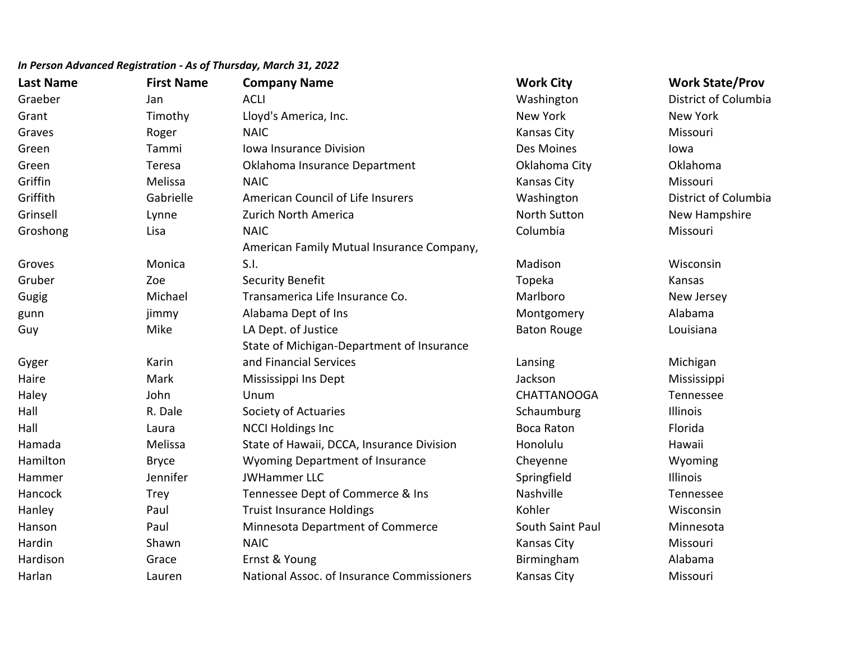| <b>Last Name</b> | <b>First Name</b> | <b>Company Name</b>                        | <b>Work City</b>    | <b>Work State/Prov</b> |
|------------------|-------------------|--------------------------------------------|---------------------|------------------------|
| Graeber          | Jan               | <b>ACLI</b>                                | Washington          | District of Columbia   |
| Grant            | Timothy           | Lloyd's America, Inc.                      | New York            | New York               |
| Graves           | Roger             | <b>NAIC</b>                                | Kansas City         | Missouri               |
| Green            | Tammi             | Iowa Insurance Division                    | Des Moines          | lowa                   |
| Green            | Teresa            | Oklahoma Insurance Department              | Oklahoma City       | Oklahoma               |
| Griffin          | Melissa           | <b>NAIC</b>                                | Kansas City         | Missouri               |
| Griffith         | Gabrielle         | American Council of Life Insurers          | Washington          | District of Columbia   |
| Grinsell         | Lynne             | Zurich North America                       | <b>North Sutton</b> | New Hampshire          |
| Groshong         | Lisa              | <b>NAIC</b>                                | Columbia            | Missouri               |
|                  |                   | American Family Mutual Insurance Company,  |                     |                        |
| Groves           | Monica            | S.I.                                       | Madison             | Wisconsin              |
| Gruber           | Zoe               | <b>Security Benefit</b>                    | Topeka              | Kansas                 |
| Gugig            | Michael           | Transamerica Life Insurance Co.            | Marlboro            | New Jersey             |
| gunn             | jimmy             | Alabama Dept of Ins                        | Montgomery          | Alabama                |
| Guy              | Mike              | LA Dept. of Justice                        | <b>Baton Rouge</b>  | Louisiana              |
|                  |                   | State of Michigan-Department of Insurance  |                     |                        |
| Gyger            | Karin             | and Financial Services                     | Lansing             | Michigan               |
| Haire            | Mark              | Mississippi Ins Dept                       | Jackson             | Mississippi            |
| Haley            | John              | Unum                                       | <b>CHATTANOOGA</b>  | Tennessee              |
| Hall             | R. Dale           | Society of Actuaries                       | Schaumburg          | Illinois               |
| Hall             | Laura             | <b>NCCI Holdings Inc</b>                   | <b>Boca Raton</b>   | Florida                |
| Hamada           | Melissa           | State of Hawaii, DCCA, Insurance Division  | Honolulu            | Hawaii                 |
| Hamilton         | <b>Bryce</b>      | <b>Wyoming Department of Insurance</b>     | Cheyenne            | Wyoming                |
| Hammer           | Jennifer          | <b>JWHammer LLC</b>                        | Springfield         | Illinois               |
| Hancock          | <b>Trey</b>       | Tennessee Dept of Commerce & Ins           | Nashville           | Tennessee              |
| Hanley           | Paul              | <b>Truist Insurance Holdings</b>           | Kohler              | Wisconsin              |
| Hanson           | Paul              | Minnesota Department of Commerce           | South Saint Paul    | Minnesota              |
| Hardin           | Shawn             | <b>NAIC</b>                                | Kansas City         | Missouri               |
| Hardison         | Grace             | Ernst & Young                              | Birmingham          | Alabama                |
| Harlan           | Lauren            | National Assoc. of Insurance Commissioners | Kansas City         | Missouri               |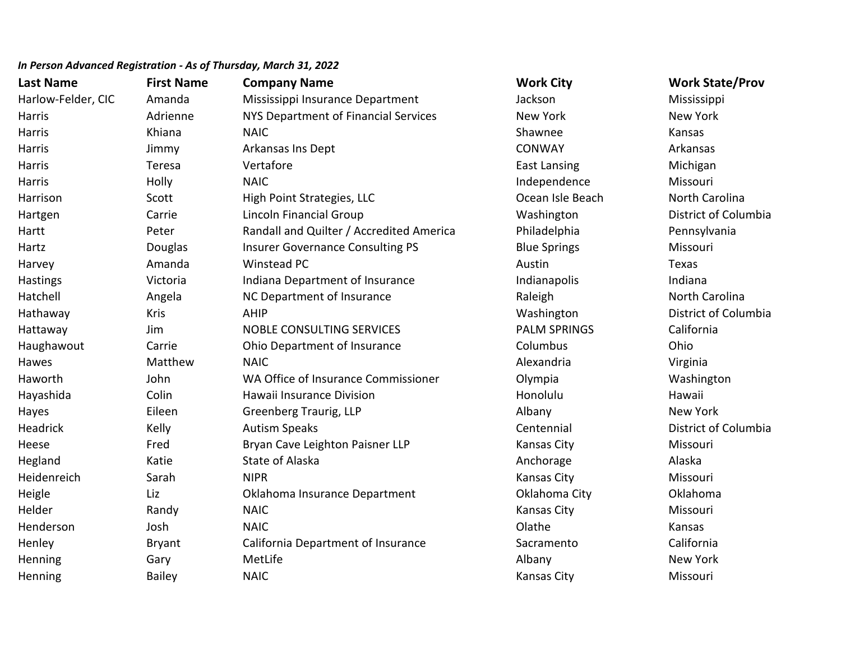| <b>Last Name</b>   | <b>First Name</b> | <b>Company Name</b>                      | <b>Work City</b>    | <b>Work State/Prov</b> |
|--------------------|-------------------|------------------------------------------|---------------------|------------------------|
| Harlow-Felder, CIC | Amanda            | Mississippi Insurance Department         | Jackson             | Mississippi            |
| Harris             | Adrienne          | NYS Department of Financial Services     | New York            | New York               |
| Harris             | Khiana            | <b>NAIC</b>                              | Shawnee             | Kansas                 |
| Harris             | Jimmy             | Arkansas Ins Dept                        | <b>CONWAY</b>       | Arkansas               |
| Harris             | Teresa            | Vertafore                                | <b>East Lansing</b> | Michigan               |
| Harris             | Holly             | <b>NAIC</b>                              | Independence        | Missouri               |
| Harrison           | Scott             | High Point Strategies, LLC               | Ocean Isle Beach    | North Carolina         |
| Hartgen            | Carrie            | Lincoln Financial Group                  | Washington          | District of Columbia   |
| Hartt              | Peter             | Randall and Quilter / Accredited America | Philadelphia        | Pennsylvania           |
| Hartz              | Douglas           | <b>Insurer Governance Consulting PS</b>  | <b>Blue Springs</b> | Missouri               |
| Harvey             | Amanda            | Winstead PC                              | Austin              | Texas                  |
| Hastings           | Victoria          | Indiana Department of Insurance          | Indianapolis        | Indiana                |
| Hatchell           | Angela            | NC Department of Insurance               | Raleigh             | North Carolina         |
| Hathaway           | Kris              | AHIP                                     | Washington          | District of Columbia   |
| Hattaway           | Jim               | <b>NOBLE CONSULTING SERVICES</b>         | <b>PALM SPRINGS</b> | California             |
| Haughawout         | Carrie            | Ohio Department of Insurance             | Columbus            | Ohio                   |
| Hawes              | Matthew           | <b>NAIC</b>                              | Alexandria          | Virginia               |
| Haworth            | John              | WA Office of Insurance Commissioner      | Olympia             | Washington             |
| Hayashida          | Colin             | Hawaii Insurance Division                | Honolulu            | Hawaii                 |
| Hayes              | Eileen            | Greenberg Traurig, LLP                   | Albany              | New York               |
| Headrick           | Kelly             | <b>Autism Speaks</b>                     | Centennial          | District of Columbia   |
| Heese              | Fred              | Bryan Cave Leighton Paisner LLP          | <b>Kansas City</b>  | Missouri               |
| Hegland            | Katie             | State of Alaska                          | Anchorage           | Alaska                 |
| Heidenreich        | Sarah             | <b>NIPR</b>                              | Kansas City         | Missouri               |
| Heigle             | Liz               | Oklahoma Insurance Department            | Oklahoma City       | Oklahoma               |
| Helder             | Randy             | <b>NAIC</b>                              | <b>Kansas City</b>  | Missouri               |
| Henderson          | Josh              | <b>NAIC</b>                              | Olathe              | Kansas                 |
| Henley             | <b>Bryant</b>     | California Department of Insurance       | Sacramento          | California             |
| Henning            | Gary              | MetLife                                  | Albany              | <b>New York</b>        |
| Henning            | <b>Bailey</b>     | <b>NAIC</b>                              | Kansas City         | Missouri               |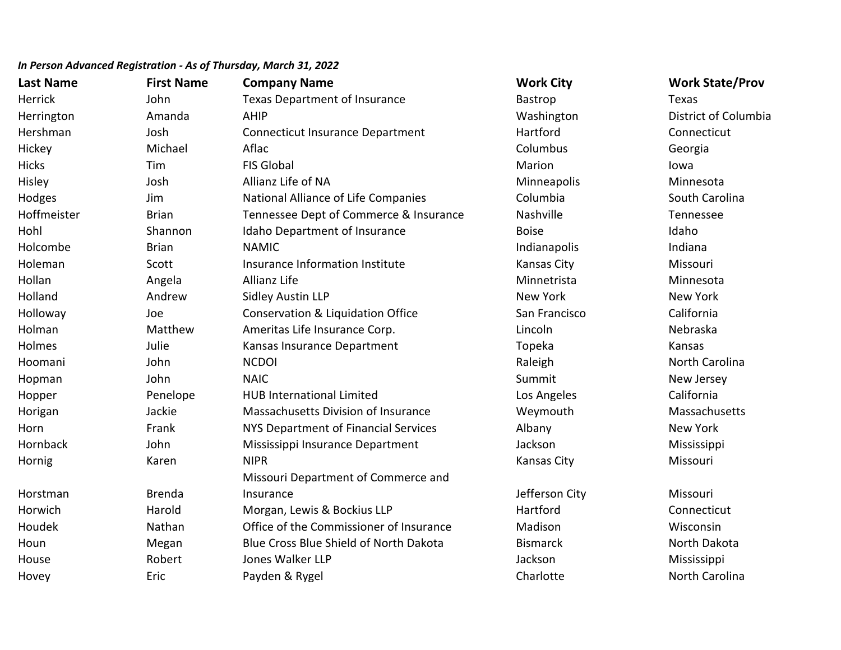| <b>Last Name</b> | <b>First Name</b> | <b>Company Name</b>                          | <b>Work City</b>   | <b>Work State/Prov</b> |
|------------------|-------------------|----------------------------------------------|--------------------|------------------------|
| Herrick          | John              | Texas Department of Insurance                | Bastrop            | Texas                  |
| Herrington       | Amanda            | <b>AHIP</b>                                  | Washington         | District of Columbia   |
| Hershman         | Josh              | <b>Connecticut Insurance Department</b>      | Hartford           | Connecticut            |
| Hickey           | Michael           | Aflac                                        | Columbus           | Georgia                |
| <b>Hicks</b>     | Tim               | <b>FIS Global</b>                            | Marion             | lowa                   |
| Hisley           | Josh              | Allianz Life of NA                           | Minneapolis        | Minnesota              |
| Hodges           | Jim               | National Alliance of Life Companies          | Columbia           | South Carolina         |
| Hoffmeister      | <b>Brian</b>      | Tennessee Dept of Commerce & Insurance       | Nashville          | Tennessee              |
| Hohl             | Shannon           | Idaho Department of Insurance                | <b>Boise</b>       | Idaho                  |
| Holcombe         | <b>Brian</b>      | <b>NAMIC</b>                                 | Indianapolis       | Indiana                |
| Holeman          | Scott             | Insurance Information Institute              | <b>Kansas City</b> | Missouri               |
| Hollan           | Angela            | Allianz Life                                 | Minnetrista        | Minnesota              |
| Holland          | Andrew            | Sidley Austin LLP                            | <b>New York</b>    | New York               |
| Holloway         | Joe               | <b>Conservation &amp; Liquidation Office</b> | San Francisco      | California             |
| Holman           | Matthew           | Ameritas Life Insurance Corp.                | Lincoln            | Nebraska               |
| Holmes           | Julie             | Kansas Insurance Department                  | Topeka             | Kansas                 |
| Hoomani          | John              | <b>NCDOI</b>                                 | Raleigh            | North Carolina         |
| Hopman           | John              | <b>NAIC</b>                                  | Summit             | New Jersey             |
| Hopper           | Penelope          | <b>HUB International Limited</b>             | Los Angeles        | California             |
| Horigan          | Jackie            | Massachusetts Division of Insurance          | Weymouth           | Massachusetts          |
| Horn             | Frank             | NYS Department of Financial Services         | Albany             | New York               |
| Hornback         | John              | Mississippi Insurance Department             | Jackson            | Mississippi            |
| Hornig           | Karen             | <b>NIPR</b>                                  | <b>Kansas City</b> | Missouri               |
|                  |                   | Missouri Department of Commerce and          |                    |                        |
| Horstman         | <b>Brenda</b>     | Insurance                                    | Jefferson City     | Missouri               |
| Horwich          | Harold            | Morgan, Lewis & Bockius LLP                  | Hartford           | Connecticut            |
| Houdek           | Nathan            | Office of the Commissioner of Insurance      | Madison            | Wisconsin              |
| Houn             | Megan             | Blue Cross Blue Shield of North Dakota       | <b>Bismarck</b>    | North Dakota           |
| House            | Robert            | Jones Walker LLP                             | Jackson            | Mississippi            |
| Hovey            | Eric              | Payden & Rygel                               | Charlotte          | North Carolina         |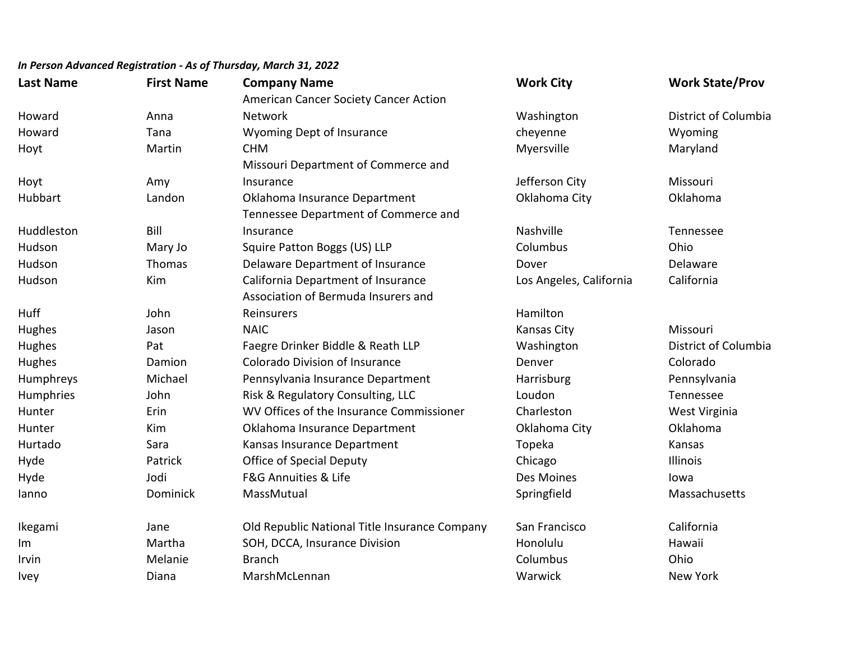| <b>Last Name</b> | <b>First Name</b> | <b>Company Name</b>                           | <b>Work City</b>        | <b>Work State/Prov</b> |
|------------------|-------------------|-----------------------------------------------|-------------------------|------------------------|
|                  |                   | American Cancer Society Cancer Action         |                         |                        |
| Howard           | Anna              | <b>Network</b>                                | Washington              | District of Columbia   |
| Howard           | Tana              | Wyoming Dept of Insurance                     | cheyenne                | Wyoming                |
| Hoyt             | Martin            | <b>CHM</b>                                    | Myersville              | Maryland               |
|                  |                   | Missouri Department of Commerce and           |                         |                        |
| Hoyt             | Amy               | Insurance                                     | Jefferson City          | Missouri               |
| Hubbart          | Landon            | Oklahoma Insurance Department                 | Oklahoma City           | Oklahoma               |
|                  |                   | Tennessee Department of Commerce and          |                         |                        |
| Huddleston       | Bill              | Insurance                                     | Nashville               | Tennessee              |
| Hudson           | Mary Jo           | Squire Patton Boggs (US) LLP                  | Columbus                | Ohio                   |
| Hudson           | Thomas            | Delaware Department of Insurance              | Dover                   | Delaware               |
| Hudson           | Kim               | California Department of Insurance            | Los Angeles, California | California             |
|                  |                   | Association of Bermuda Insurers and           |                         |                        |
| Huff             | John              | Reinsurers                                    | Hamilton                |                        |
| Hughes           | Jason             | <b>NAIC</b>                                   | Kansas City             | Missouri               |
| Hughes           | Pat               | Faegre Drinker Biddle & Reath LLP             | Washington              | District of Columbia   |
| Hughes           | Damion            | <b>Colorado Division of Insurance</b>         | Denver                  | Colorado               |
| Humphreys        | Michael           | Pennsylvania Insurance Department             | Harrisburg              | Pennsylvania           |
| Humphries        | John              | Risk & Regulatory Consulting, LLC             | Loudon                  | Tennessee              |
| Hunter           | Erin              | WV Offices of the Insurance Commissioner      | Charleston              | West Virginia          |
| Hunter           | Kim               | Oklahoma Insurance Department                 | Oklahoma City           | Oklahoma               |
| Hurtado          | Sara              | Kansas Insurance Department                   | Topeka                  | Kansas                 |
| Hyde             | Patrick           | <b>Office of Special Deputy</b>               | Chicago                 | Illinois               |
| Hyde             | Jodi              | F&G Annuities & Life                          | Des Moines              | lowa                   |
| lanno            | Dominick          | MassMutual                                    | Springfield             | Massachusetts          |
| Ikegami          | Jane              | Old Republic National Title Insurance Company | San Francisco           | California             |
| Im               | Martha            | SOH, DCCA, Insurance Division                 | Honolulu                | Hawaii                 |
| Irvin            | Melanie           | <b>Branch</b>                                 | Columbus                | Ohio                   |
| Ivey             | Diana             | MarshMcLennan                                 | Warwick                 | New York               |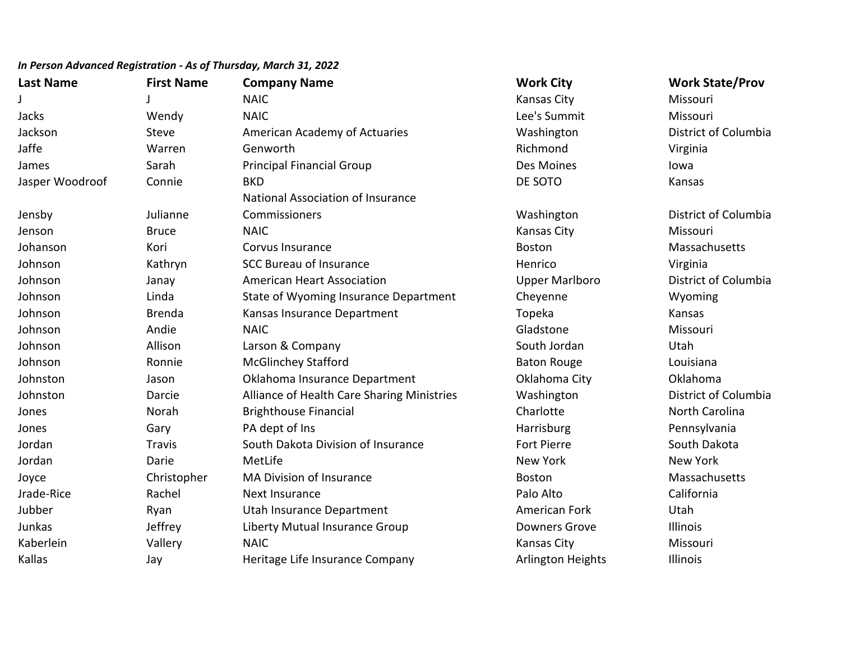| In Person Advanced Registration - As of Thursday, March 31, 2022 |
|------------------------------------------------------------------|
|------------------------------------------------------------------|

| <b>Last Name</b> | <b>First Name</b> | <b>Company Name</b>                        | <b>Work City</b>         | <b>Work State/Prov</b> |
|------------------|-------------------|--------------------------------------------|--------------------------|------------------------|
|                  |                   | <b>NAIC</b>                                | <b>Kansas City</b>       | Missouri               |
| Jacks            | Wendy             | <b>NAIC</b>                                | Lee's Summit             | Missouri               |
| Jackson          | <b>Steve</b>      | American Academy of Actuaries              | Washington               | District of Columbia   |
| Jaffe            | Warren            | Genworth                                   | Richmond                 | Virginia               |
| James            | Sarah             | <b>Principal Financial Group</b>           | Des Moines               | lowa                   |
| Jasper Woodroof  | Connie            | <b>BKD</b>                                 | DE SOTO                  | Kansas                 |
|                  |                   | National Association of Insurance          |                          |                        |
| Jensby           | Julianne          | Commissioners                              | Washington               | District of Columbia   |
| Jenson           | <b>Bruce</b>      | <b>NAIC</b>                                | <b>Kansas City</b>       | Missouri               |
| Johanson         | Kori              | Corvus Insurance                           | <b>Boston</b>            | Massachusetts          |
| Johnson          | Kathryn           | <b>SCC Bureau of Insurance</b>             | Henrico                  | Virginia               |
| Johnson          | Janay             | <b>American Heart Association</b>          | <b>Upper Marlboro</b>    | District of Columbia   |
| Johnson          | Linda             | State of Wyoming Insurance Department      | Cheyenne                 | Wyoming                |
| Johnson          | <b>Brenda</b>     | Kansas Insurance Department                | Topeka                   | Kansas                 |
| Johnson          | Andie             | <b>NAIC</b>                                | Gladstone                | Missouri               |
| Johnson          | Allison           | Larson & Company                           | South Jordan             | Utah                   |
| Johnson          | Ronnie            | <b>McGlinchey Stafford</b>                 | <b>Baton Rouge</b>       | Louisiana              |
| Johnston         | Jason             | Oklahoma Insurance Department              | Oklahoma City            | Oklahoma               |
| Johnston         | Darcie            | Alliance of Health Care Sharing Ministries | Washington               | District of Columbia   |
| Jones            | Norah             | <b>Brighthouse Financial</b>               | Charlotte                | North Carolina         |
| Jones            | Gary              | PA dept of Ins                             | Harrisburg               | Pennsylvania           |
| Jordan           | <b>Travis</b>     | South Dakota Division of Insurance         | <b>Fort Pierre</b>       | South Dakota           |
| Jordan           | Darie             | MetLife                                    | <b>New York</b>          | <b>New York</b>        |
| Joyce            | Christopher       | <b>MA Division of Insurance</b>            | <b>Boston</b>            | Massachusetts          |
| Jrade-Rice       | Rachel            | Next Insurance                             | Palo Alto                | California             |
| Jubber           | Ryan              | Utah Insurance Department                  | American Fork            | Utah                   |
| Junkas           | Jeffrey           | Liberty Mutual Insurance Group             | <b>Downers Grove</b>     | Illinois               |
| Kaberlein        | Vallery           | <b>NAIC</b>                                | Kansas City              | Missouri               |
| Kallas           | Jay               | Heritage Life Insurance Company            | <b>Arlington Heights</b> | Illinois               |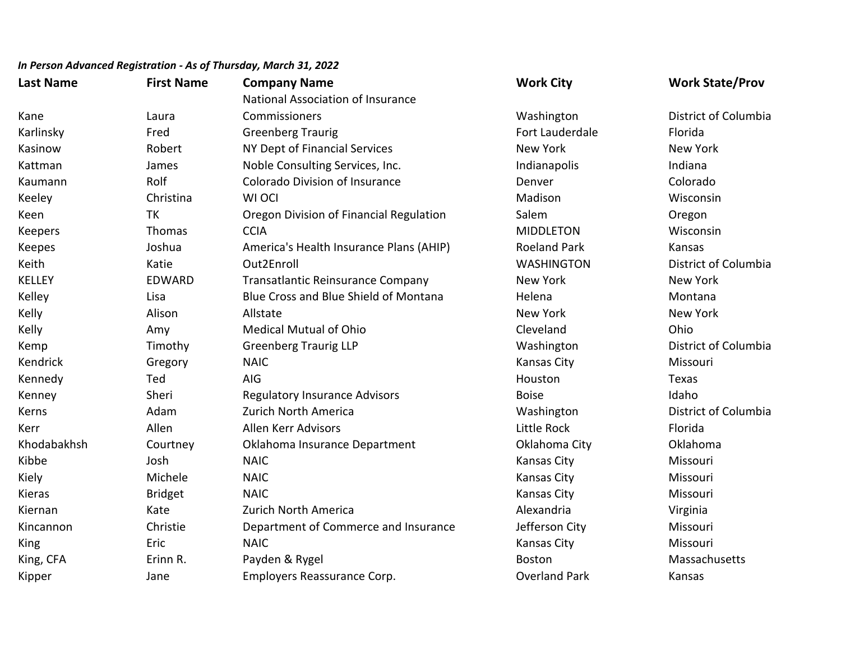| <b>Last Name</b> | <b>First Name</b> | <b>Company Name</b>                     | <b>Work City</b>     | <b>Work State/Prov</b> |
|------------------|-------------------|-----------------------------------------|----------------------|------------------------|
|                  |                   | National Association of Insurance       |                      |                        |
| Kane             | Laura             | Commissioners                           | Washington           | District of Columbia   |
| Karlinsky        | Fred              | <b>Greenberg Traurig</b>                | Fort Lauderdale      | Florida                |
| Kasinow          | Robert            | NY Dept of Financial Services           | New York             | New York               |
| Kattman          | James             | Noble Consulting Services, Inc.         | Indianapolis         | Indiana                |
| Kaumann          | Rolf              | <b>Colorado Division of Insurance</b>   | Denver               | Colorado               |
| Keeley           | Christina         | WI OCI                                  | Madison              | Wisconsin              |
| Keen             | <b>TK</b>         | Oregon Division of Financial Regulation | Salem                | Oregon                 |
| <b>Keepers</b>   | Thomas            | <b>CCIA</b>                             | <b>MIDDLETON</b>     | Wisconsin              |
| Keepes           | Joshua            | America's Health Insurance Plans (AHIP) | <b>Roeland Park</b>  | Kansas                 |
| Keith            | Katie             | Out2Enroll                              | <b>WASHINGTON</b>    | District of Columbia   |
| <b>KELLEY</b>    | <b>EDWARD</b>     | Transatlantic Reinsurance Company       | New York             | <b>New York</b>        |
| Kelley           | Lisa              | Blue Cross and Blue Shield of Montana   | Helena               | Montana                |
| Kelly            | Alison            | Allstate                                | New York             | New York               |
| Kelly            | Amy               | <b>Medical Mutual of Ohio</b>           | Cleveland            | Ohio                   |
| Kemp             | Timothy           | <b>Greenberg Traurig LLP</b>            | Washington           | District of Columbia   |
| Kendrick         | Gregory           | <b>NAIC</b>                             | Kansas City          | Missouri               |
| Kennedy          | Ted               | AIG                                     | Houston              | Texas                  |
| Kenney           | Sheri             | <b>Regulatory Insurance Advisors</b>    | <b>Boise</b>         | Idaho                  |
| Kerns            | Adam              | Zurich North America                    | Washington           | District of Columbia   |
| Kerr             | Allen             | Allen Kerr Advisors                     | Little Rock          | Florida                |
| Khodabakhsh      | Courtney          | Oklahoma Insurance Department           | Oklahoma City        | Oklahoma               |
| Kibbe            | Josh              | <b>NAIC</b>                             | <b>Kansas City</b>   | Missouri               |
| Kiely            | Michele           | <b>NAIC</b>                             | Kansas City          | Missouri               |
| Kieras           | <b>Bridget</b>    | <b>NAIC</b>                             | <b>Kansas City</b>   | Missouri               |
| Kiernan          | Kate              | Zurich North America                    | Alexandria           | Virginia               |
| Kincannon        | Christie          | Department of Commerce and Insurance    | Jefferson City       | Missouri               |
| King             | Eric              | <b>NAIC</b>                             | Kansas City          | Missouri               |
| King, CFA        | Erinn R.          | Payden & Rygel                          | <b>Boston</b>        | Massachusetts          |
| Kipper           | Jane              | Employers Reassurance Corp.             | <b>Overland Park</b> | Kansas                 |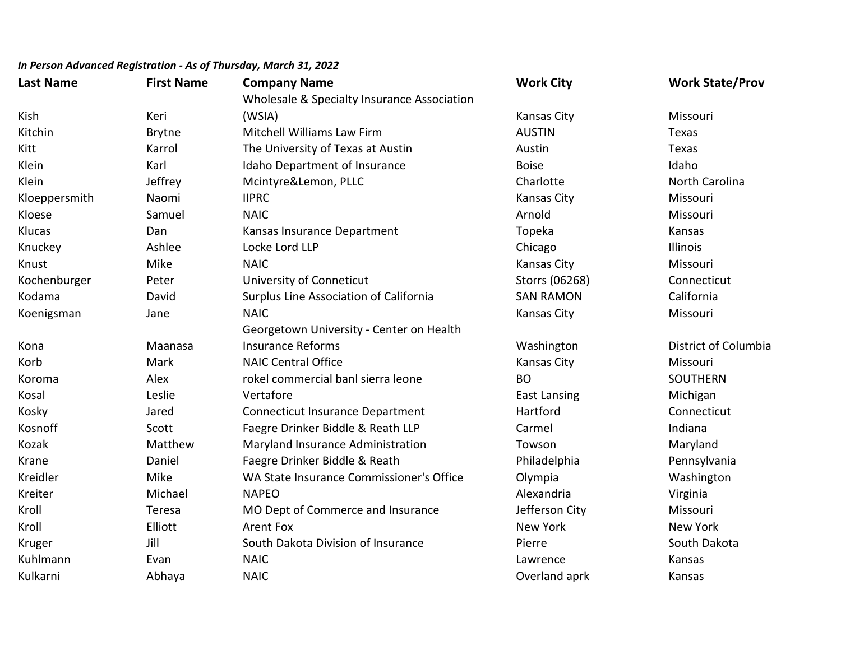| <b>Last Name</b> | <b>First Name</b> | <b>Company Name</b>                         | <b>Work City</b>    | <b>Work State/Prov</b> |
|------------------|-------------------|---------------------------------------------|---------------------|------------------------|
|                  |                   | Wholesale & Specialty Insurance Association |                     |                        |
| Kish             | Keri              | (WSIA)                                      | Kansas City         | Missouri               |
| Kitchin          | Brytne            | Mitchell Williams Law Firm                  | <b>AUSTIN</b>       | Texas                  |
| Kitt             | Karrol            | The University of Texas at Austin           | Austin              | Texas                  |
| Klein            | Karl              | Idaho Department of Insurance               | <b>Boise</b>        | Idaho                  |
| Klein            | Jeffrey           | Mcintyre&Lemon, PLLC                        | Charlotte           | North Carolina         |
| Kloeppersmith    | Naomi             | <b>IIPRC</b>                                | <b>Kansas City</b>  | Missouri               |
| Kloese           | Samuel            | <b>NAIC</b>                                 | Arnold              | Missouri               |
| Klucas           | Dan               | Kansas Insurance Department                 | Topeka              | Kansas                 |
| Knuckey          | Ashlee            | Locke Lord LLP                              | Chicago             | Illinois               |
| Knust            | Mike              | <b>NAIC</b>                                 | Kansas City         | Missouri               |
| Kochenburger     | Peter             | University of Conneticut                    | Storrs (06268)      | Connecticut            |
| Kodama           | David             | Surplus Line Association of California      | <b>SAN RAMON</b>    | California             |
| Koenigsman       | Jane              | <b>NAIC</b>                                 | <b>Kansas City</b>  | Missouri               |
|                  |                   | Georgetown University - Center on Health    |                     |                        |
| Kona             | Maanasa           | <b>Insurance Reforms</b>                    | Washington          | District of Columbia   |
| Korb             | Mark              | <b>NAIC Central Office</b>                  | <b>Kansas City</b>  | Missouri               |
| Koroma           | Alex              | rokel commercial banl sierra leone          | <b>BO</b>           | <b>SOUTHERN</b>        |
| Kosal            | Leslie            | Vertafore                                   | <b>East Lansing</b> | Michigan               |
| Kosky            | Jared             | <b>Connecticut Insurance Department</b>     | Hartford            | Connecticut            |
| Kosnoff          | Scott             | Faegre Drinker Biddle & Reath LLP           | Carmel              | Indiana                |
| Kozak            | Matthew           | Maryland Insurance Administration           | Towson              | Maryland               |
| Krane            | Daniel            | Faegre Drinker Biddle & Reath               | Philadelphia        | Pennsylvania           |
| Kreidler         | Mike              | WA State Insurance Commissioner's Office    | Olympia             | Washington             |
| Kreiter          | Michael           | <b>NAPEO</b>                                | Alexandria          | Virginia               |
| Kroll            | Teresa            | MO Dept of Commerce and Insurance           | Jefferson City      | Missouri               |
| Kroll            | Elliott           | <b>Arent Fox</b>                            | New York            | <b>New York</b>        |
| Kruger           | Jill              | South Dakota Division of Insurance          | Pierre              | South Dakota           |
| Kuhlmann         | Evan              | <b>NAIC</b>                                 | Lawrence            | Kansas                 |
| Kulkarni         | Abhaya            | <b>NAIC</b>                                 | Overland aprk       | Kansas                 |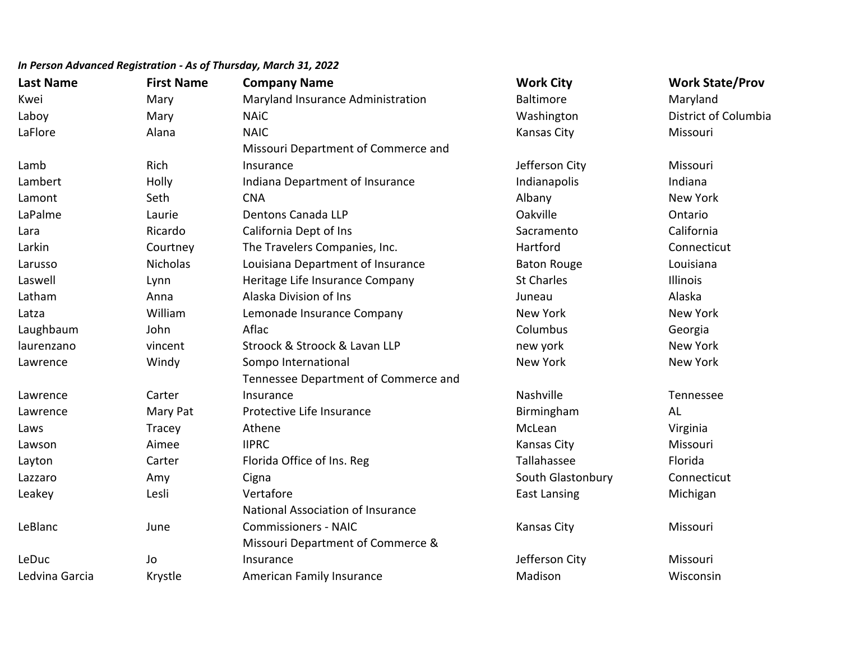| <b>Last Name</b> | <b>First Name</b> | <b>Company Name</b>                  | <b>Work City</b>    | <b>Work State/Prov</b> |
|------------------|-------------------|--------------------------------------|---------------------|------------------------|
| Kwei             | Mary              | Maryland Insurance Administration    | <b>Baltimore</b>    | Maryland               |
| Laboy            | Mary              | <b>NAiC</b>                          | Washington          | District of Columbia   |
| LaFlore          | Alana             | <b>NAIC</b>                          | <b>Kansas City</b>  | Missouri               |
|                  |                   | Missouri Department of Commerce and  |                     |                        |
| Lamb             | Rich              | Insurance                            | Jefferson City      | Missouri               |
| Lambert          | Holly             | Indiana Department of Insurance      | Indianapolis        | Indiana                |
| Lamont           | Seth              | <b>CNA</b>                           | Albany              | New York               |
| LaPalme          | Laurie            | <b>Dentons Canada LLP</b>            | Oakville            | Ontario                |
| Lara             | Ricardo           | California Dept of Ins               | Sacramento          | California             |
| Larkin           | Courtney          | The Travelers Companies, Inc.        | Hartford            | Connecticut            |
| Larusso          | <b>Nicholas</b>   | Louisiana Department of Insurance    | <b>Baton Rouge</b>  | Louisiana              |
| Laswell          | Lynn              | Heritage Life Insurance Company      | <b>St Charles</b>   | Illinois               |
| Latham           | Anna              | Alaska Division of Ins               | Juneau              | Alaska                 |
| Latza            | William           | Lemonade Insurance Company           | New York            | New York               |
| Laughbaum        | John              | Aflac                                | Columbus            | Georgia                |
| laurenzano       | vincent           | Stroock & Stroock & Lavan LLP        | new york            | New York               |
| Lawrence         | Windy             | Sompo International                  | <b>New York</b>     | New York               |
|                  |                   | Tennessee Department of Commerce and |                     |                        |
| Lawrence         | Carter            | Insurance                            | Nashville           | Tennessee              |
| Lawrence         | Mary Pat          | Protective Life Insurance            | Birmingham          | AL                     |
| Laws             | Tracey            | Athene                               | McLean              | Virginia               |
| Lawson           | Aimee             | <b>IIPRC</b>                         | Kansas City         | Missouri               |
| Layton           | Carter            | Florida Office of Ins. Reg           | Tallahassee         | Florida                |
| Lazzaro          | Amy               | Cigna                                | South Glastonbury   | Connecticut            |
| Leakey           | Lesli             | Vertafore                            | <b>East Lansing</b> | Michigan               |
|                  |                   | National Association of Insurance    |                     |                        |
| LeBlanc          | June              | <b>Commissioners - NAIC</b>          | Kansas City         | Missouri               |
|                  |                   | Missouri Department of Commerce &    |                     |                        |
| LeDuc            | Jo                | Insurance                            | Jefferson City      | Missouri               |
| Ledvina Garcia   | Krystle           | American Family Insurance            | Madison             | Wisconsin              |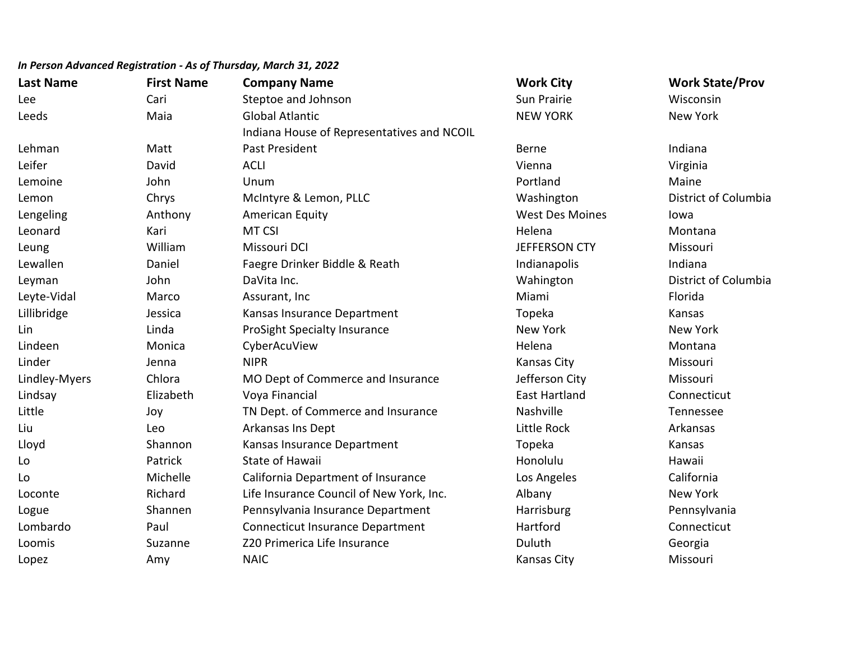| <b>Last Name</b> | <b>First Name</b> | <b>Company Name</b>                        | <b>Work City</b>       | <b>Work State/Prov</b> |
|------------------|-------------------|--------------------------------------------|------------------------|------------------------|
| Lee              | Cari              | Steptoe and Johnson                        | Sun Prairie            | Wisconsin              |
| Leeds            | Maia              | <b>Global Atlantic</b>                     | <b>NEW YORK</b>        | <b>New York</b>        |
|                  |                   | Indiana House of Representatives and NCOIL |                        |                        |
| Lehman           | Matt              | Past President                             | <b>Berne</b>           | Indiana                |
| Leifer           | David             | <b>ACLI</b>                                | Vienna                 | Virginia               |
| Lemoine          | John              | Unum                                       | Portland               | Maine                  |
| Lemon            | Chrys             | McIntyre & Lemon, PLLC                     | Washington             | District of Columbia   |
| Lengeling        | Anthony           | American Equity                            | <b>West Des Moines</b> | lowa                   |
| Leonard          | Kari              | MT CSI                                     | Helena                 | Montana                |
| Leung            | William           | Missouri DCI                               | <b>JEFFERSON CTY</b>   | Missouri               |
| Lewallen         | Daniel            | Faegre Drinker Biddle & Reath              | Indianapolis           | Indiana                |
| Leyman           | John              | DaVita Inc.                                | Wahington              | District of Columbia   |
| Leyte-Vidal      | Marco             | Assurant, Inc                              | Miami                  | Florida                |
| Lillibridge      | Jessica           | Kansas Insurance Department                | Topeka                 | Kansas                 |
| Lin              | Linda             | ProSight Specialty Insurance               | <b>New York</b>        | <b>New York</b>        |
| Lindeen          | Monica            | CyberAcuView                               | Helena                 | Montana                |
| Linder           | Jenna             | <b>NIPR</b>                                | <b>Kansas City</b>     | Missouri               |
| Lindley-Myers    | Chlora            | MO Dept of Commerce and Insurance          | Jefferson City         | Missouri               |
| Lindsay          | Elizabeth         | Voya Financial                             | <b>East Hartland</b>   | Connecticut            |
| Little           | Joy               | TN Dept. of Commerce and Insurance         | Nashville              | Tennessee              |
| Liu              | Leo               | Arkansas Ins Dept                          | Little Rock            | Arkansas               |
| Lloyd            | Shannon           | Kansas Insurance Department                | Topeka                 | Kansas                 |
| Lo               | Patrick           | <b>State of Hawaii</b>                     | Honolulu               | Hawaii                 |
| Lo               | Michelle          | California Department of Insurance         | Los Angeles            | California             |
| Loconte          | Richard           | Life Insurance Council of New York, Inc.   | Albany                 | New York               |
| Logue            | Shannen           | Pennsylvania Insurance Department          | Harrisburg             | Pennsylvania           |
| Lombardo         | Paul              | <b>Connecticut Insurance Department</b>    | Hartford               | Connecticut            |
| Loomis           | Suzanne           | Z20 Primerica Life Insurance               | Duluth                 | Georgia                |
| Lopez            | Amy               | <b>NAIC</b>                                | <b>Kansas City</b>     | Missouri               |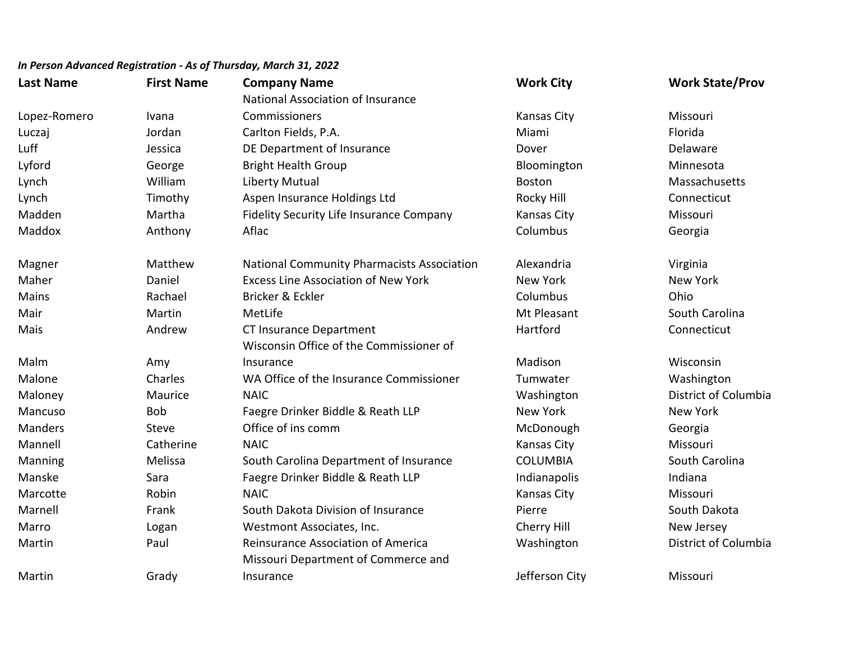| <b>Last Name</b> | <b>First Name</b> | <b>Company Name</b>                        | <b>Work City</b>   | <b>Work State/Prov</b> |
|------------------|-------------------|--------------------------------------------|--------------------|------------------------|
|                  |                   | National Association of Insurance          |                    |                        |
| Lopez-Romero     | Ivana             | Commissioners                              | <b>Kansas City</b> | Missouri               |
| Luczaj           | Jordan            | Carlton Fields, P.A.                       | Miami              | Florida                |
| Luff             | Jessica           | DE Department of Insurance                 | Dover              | Delaware               |
| Lyford           | George            | <b>Bright Health Group</b>                 | Bloomington        | Minnesota              |
| Lynch            | William           | <b>Liberty Mutual</b>                      | <b>Boston</b>      | Massachusetts          |
| Lynch            | Timothy           | Aspen Insurance Holdings Ltd               | Rocky Hill         | Connecticut            |
| Madden           | Martha            | Fidelity Security Life Insurance Company   | Kansas City        | Missouri               |
| Maddox           | Anthony           | Aflac                                      | Columbus           | Georgia                |
| Magner           | Matthew           | National Community Pharmacists Association | Alexandria         | Virginia               |
| Maher            | Daniel            | <b>Excess Line Association of New York</b> | <b>New York</b>    | <b>New York</b>        |
| Mains            | Rachael           | Bricker & Eckler                           | Columbus           | Ohio                   |
| Mair             | Martin            | MetLife                                    | Mt Pleasant        | South Carolina         |
| Mais             | Andrew            | CT Insurance Department                    | Hartford           | Connecticut            |
|                  |                   | Wisconsin Office of the Commissioner of    |                    |                        |
| Malm             | Amy               | Insurance                                  | Madison            | Wisconsin              |
| Malone           | Charles           | WA Office of the Insurance Commissioner    | Tumwater           | Washington             |
| Maloney          | Maurice           | <b>NAIC</b>                                | Washington         | District of Columbia   |
| Mancuso          | <b>Bob</b>        | Faegre Drinker Biddle & Reath LLP          | New York           | New York               |
| <b>Manders</b>   | Steve             | Office of ins comm                         | McDonough          | Georgia                |
| Mannell          | Catherine         | <b>NAIC</b>                                | <b>Kansas City</b> | Missouri               |
| Manning          | Melissa           | South Carolina Department of Insurance     | <b>COLUMBIA</b>    | South Carolina         |
| Manske           | Sara              | Faegre Drinker Biddle & Reath LLP          | Indianapolis       | Indiana                |
| Marcotte         | Robin             | <b>NAIC</b>                                | <b>Kansas City</b> | Missouri               |
| Marnell          | Frank             | South Dakota Division of Insurance         | Pierre             | South Dakota           |
| Marro            | Logan             | Westmont Associates, Inc.                  | Cherry Hill        | New Jersey             |
| Martin           | Paul              | Reinsurance Association of America         | Washington         | District of Columbia   |
|                  |                   | Missouri Department of Commerce and        |                    |                        |
| Martin           | Grady             | Insurance                                  | Jefferson City     | Missouri               |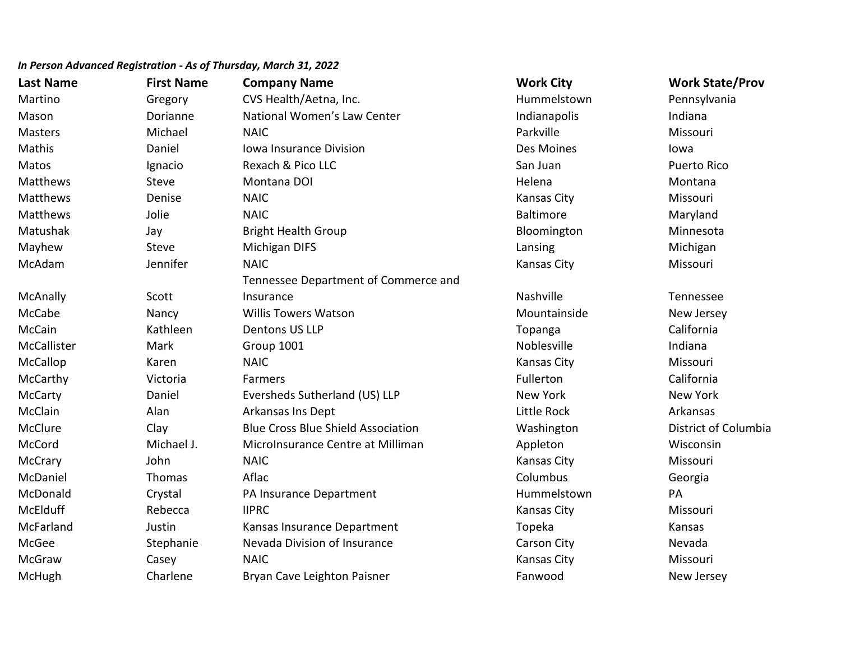| <b>Last Name</b> | <b>First Name</b> | <b>Company Name</b>                       | <b>Work City</b>   | <b>Work State/Prov</b> |
|------------------|-------------------|-------------------------------------------|--------------------|------------------------|
| Martino          | Gregory           | CVS Health/Aetna, Inc.                    | Hummelstown        | Pennsylvania           |
| Mason            | Dorianne          | National Women's Law Center               | Indianapolis       | Indiana                |
| <b>Masters</b>   | Michael           | <b>NAIC</b>                               | Parkville          | Missouri               |
| Mathis           | Daniel            | Iowa Insurance Division                   | Des Moines         | lowa                   |
| Matos            | Ignacio           | Rexach & Pico LLC                         | San Juan           | <b>Puerto Rico</b>     |
| Matthews         | <b>Steve</b>      | Montana DOI                               | Helena             | Montana                |
| Matthews         | Denise            | <b>NAIC</b>                               | <b>Kansas City</b> | Missouri               |
| Matthews         | Jolie             | <b>NAIC</b>                               | Baltimore          | Maryland               |
| Matushak         | Jay               | <b>Bright Health Group</b>                | Bloomington        | Minnesota              |
| Mayhew           | Steve             | Michigan DIFS                             | Lansing            | Michigan               |
| McAdam           | Jennifer          | <b>NAIC</b>                               | Kansas City        | Missouri               |
|                  |                   | Tennessee Department of Commerce and      |                    |                        |
| McAnally         | Scott             | Insurance                                 | Nashville          | Tennessee              |
| McCabe           | Nancy             | <b>Willis Towers Watson</b>               | Mountainside       | New Jersey             |
| McCain           | Kathleen          | <b>Dentons US LLP</b>                     | Topanga            | California             |
| McCallister      | Mark              | Group 1001                                | Noblesville        | Indiana                |
| McCallop         | Karen             | <b>NAIC</b>                               | <b>Kansas City</b> | Missouri               |
| McCarthy         | Victoria          | Farmers                                   | Fullerton          | California             |
| McCarty          | Daniel            | Eversheds Sutherland (US) LLP             | New York           | <b>New York</b>        |
| McClain          | Alan              | Arkansas Ins Dept                         | Little Rock        | Arkansas               |
| McClure          | Clay              | <b>Blue Cross Blue Shield Association</b> | Washington         | District of Columbia   |
| McCord           | Michael J.        | MicroInsurance Centre at Milliman         | Appleton           | Wisconsin              |
| McCrary          | John              | <b>NAIC</b>                               | Kansas City        | Missouri               |
| McDaniel         | Thomas            | Aflac                                     | Columbus           | Georgia                |
| McDonald         | Crystal           | PA Insurance Department                   | Hummelstown        | PA                     |
| McElduff         | Rebecca           | <b>IIPRC</b>                              | Kansas City        | Missouri               |
| McFarland        | Justin            | Kansas Insurance Department               | Topeka             | Kansas                 |
| McGee            | Stephanie         | Nevada Division of Insurance              | Carson City        | Nevada                 |
| McGraw           | Casey             | <b>NAIC</b>                               | Kansas City        | Missouri               |
| McHugh           | Charlene          | Bryan Cave Leighton Paisner               | Fanwood            | New Jersey             |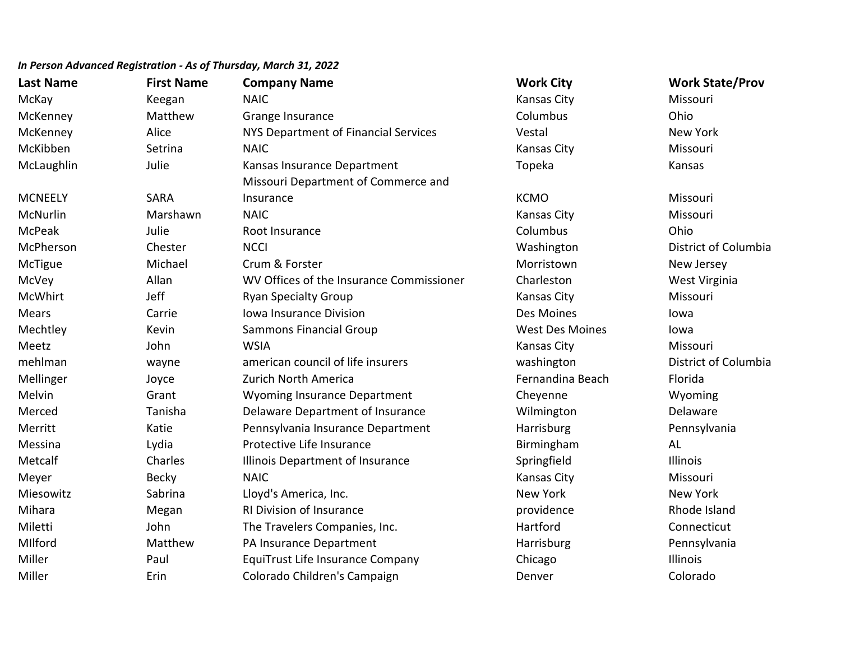| <b>Last Name</b> | <b>First Name</b> | <b>Company Name</b>                      | <b>Work City</b>       | <b>Work State/Prov</b> |
|------------------|-------------------|------------------------------------------|------------------------|------------------------|
| McKay            | Keegan            | <b>NAIC</b>                              | <b>Kansas City</b>     | Missouri               |
| McKenney         | Matthew           | Grange Insurance                         | Columbus               | Ohio                   |
| McKenney         | Alice             | NYS Department of Financial Services     | Vestal                 | <b>New York</b>        |
| McKibben         | Setrina           | <b>NAIC</b>                              | Kansas City            | Missouri               |
| McLaughlin       | Julie             | Kansas Insurance Department              | Topeka                 | Kansas                 |
|                  |                   | Missouri Department of Commerce and      |                        |                        |
| <b>MCNEELY</b>   | <b>SARA</b>       | Insurance                                | <b>KCMO</b>            | Missouri               |
| McNurlin         | Marshawn          | <b>NAIC</b>                              | <b>Kansas City</b>     | Missouri               |
| <b>McPeak</b>    | Julie             | Root Insurance                           | Columbus               | Ohio                   |
| McPherson        | Chester           | <b>NCCI</b>                              | Washington             | District of Columbia   |
| McTigue          | Michael           | Crum & Forster                           | Morristown             | New Jersey             |
| McVey            | Allan             | WV Offices of the Insurance Commissioner | Charleston             | West Virginia          |
| <b>McWhirt</b>   | Jeff              | <b>Ryan Specialty Group</b>              | Kansas City            | Missouri               |
| <b>Mears</b>     | Carrie            | Iowa Insurance Division                  | Des Moines             | lowa                   |
| Mechtley         | Kevin             | <b>Sammons Financial Group</b>           | <b>West Des Moines</b> | lowa                   |
| Meetz            | John              | <b>WSIA</b>                              | Kansas City            | Missouri               |
| mehlman          | wayne             | american council of life insurers        | washington             | District of Columbia   |
| Mellinger        | Joyce             | Zurich North America                     | Fernandina Beach       | Florida                |
| Melvin           | Grant             | <b>Wyoming Insurance Department</b>      | Cheyenne               | Wyoming                |
| Merced           | Tanisha           | Delaware Department of Insurance         | Wilmington             | Delaware               |
| Merritt          | Katie             | Pennsylvania Insurance Department        | Harrisburg             | Pennsylvania           |
| Messina          | Lydia             | Protective Life Insurance                | Birmingham             | AL                     |
| Metcalf          | Charles           | Illinois Department of Insurance         | Springfield            | Illinois               |
| Meyer            | <b>Becky</b>      | <b>NAIC</b>                              | Kansas City            | Missouri               |
| Miesowitz        | Sabrina           | Lloyd's America, Inc.                    | New York               | <b>New York</b>        |
| Mihara           | Megan             | RI Division of Insurance                 | providence             | Rhode Island           |
| Miletti          | John              | The Travelers Companies, Inc.            | Hartford               | Connecticut            |
| MIlford          | Matthew           | PA Insurance Department                  | Harrisburg             | Pennsylvania           |
| Miller           | Paul              | <b>EquiTrust Life Insurance Company</b>  | Chicago                | Illinois               |
| Miller           | Erin              | Colorado Children's Campaign             | Denver                 | Colorado               |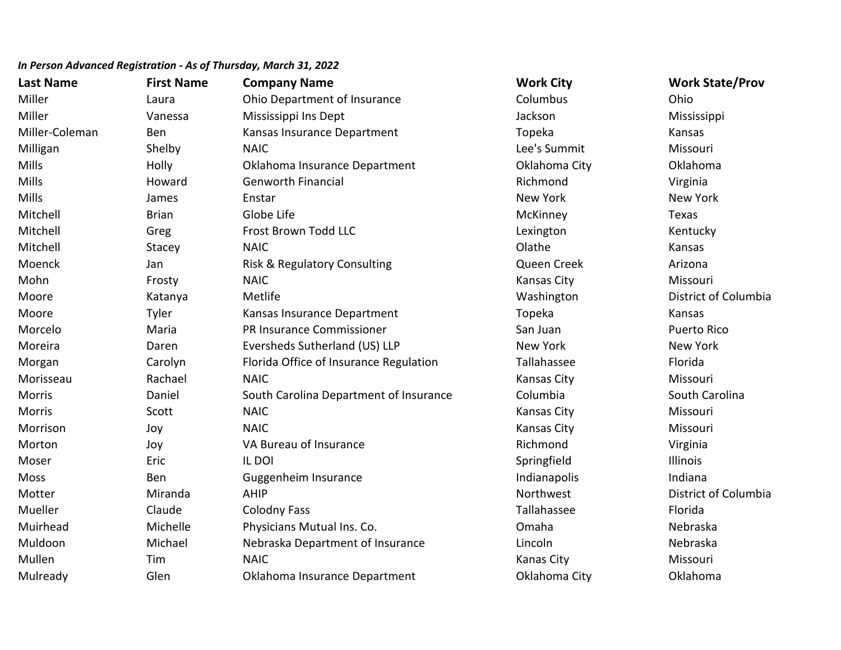| <b>Last Name</b> | <b>First Name</b> | <b>Company Name</b>                    | <b>Work City</b>   | <b>Work State/Prov</b> |
|------------------|-------------------|----------------------------------------|--------------------|------------------------|
| Miller           | Laura             | Ohio Department of Insurance           | Columbus           | Ohio                   |
| Miller           | Vanessa           | Mississippi Ins Dept                   | Jackson            | Mississippi            |
| Miller-Coleman   | Ben               | Kansas Insurance Department            | Topeka             | Kansas                 |
| Milligan         | Shelby            | <b>NAIC</b>                            | Lee's Summit       | Missouri               |
| <b>Mills</b>     | Holly             | Oklahoma Insurance Department          | Oklahoma City      | Oklahoma               |
| Mills            | Howard            | <b>Genworth Financial</b>              | Richmond           | Virginia               |
| Mills            | James             | Enstar                                 | New York           | <b>New York</b>        |
| Mitchell         | <b>Brian</b>      | Globe Life                             | McKinney           | Texas                  |
| Mitchell         | Greg              | Frost Brown Todd LLC                   | Lexington          | Kentucky               |
| Mitchell         | Stacey            | <b>NAIC</b>                            | Olathe             | Kansas                 |
| Moenck           | Jan               | Risk & Regulatory Consulting           | Queen Creek        | Arizona                |
| Mohn             | Frosty            | <b>NAIC</b>                            | <b>Kansas City</b> | Missouri               |
| Moore            | Katanya           | Metlife                                | Washington         | District of Columbia   |
| Moore            | Tyler             | Kansas Insurance Department            | Topeka             | Kansas                 |
| Morcelo          | Maria             | PR Insurance Commissioner              | San Juan           | <b>Puerto Rico</b>     |
| Moreira          | Daren             | Eversheds Sutherland (US) LLP          | New York           | <b>New York</b>        |
| Morgan           | Carolyn           | Florida Office of Insurance Regulation | Tallahassee        | Florida                |
| Morisseau        | Rachael           | <b>NAIC</b>                            | <b>Kansas City</b> | Missouri               |
| Morris           | Daniel            | South Carolina Department of Insurance | Columbia           | South Carolina         |
| Morris           | Scott             | <b>NAIC</b>                            | Kansas City        | Missouri               |
| Morrison         | Joy               | <b>NAIC</b>                            | <b>Kansas City</b> | Missouri               |
| Morton           | Joy               | VA Bureau of Insurance                 | Richmond           | Virginia               |
| Moser            | Eric              | IL DOI                                 | Springfield        | Illinois               |
| Moss             | Ben               | Guggenheim Insurance                   | Indianapolis       | Indiana                |
| Motter           | Miranda           | <b>AHIP</b>                            | Northwest          | District of Columbia   |
| Mueller          | Claude            | <b>Colodny Fass</b>                    | Tallahassee        | Florida                |
| Muirhead         | Michelle          | Physicians Mutual Ins. Co.             | Omaha              | Nebraska               |
| Muldoon          | Michael           | Nebraska Department of Insurance       | Lincoln            | Nebraska               |
| Mullen           | Tim               | <b>NAIC</b>                            | Kanas City         | Missouri               |
| Mulready         | Glen              | Oklahoma Insurance Department          | Oklahoma City      | Oklahoma               |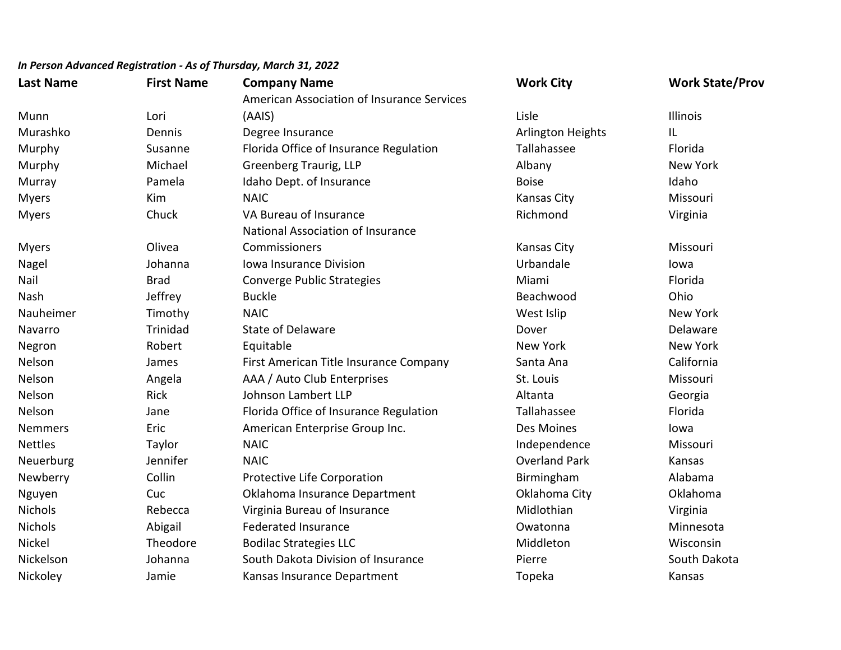| <b>Last Name</b> | <b>First Name</b> | <b>Company Name</b>                        | <b>Work City</b>     | <b>Work State/Prov</b> |
|------------------|-------------------|--------------------------------------------|----------------------|------------------------|
|                  |                   | American Association of Insurance Services |                      |                        |
| Munn             | Lori              | (AAIS)                                     | Lisle                | <b>Illinois</b>        |
| Murashko         | Dennis            | Degree Insurance                           | Arlington Heights    | IL                     |
| Murphy           | Susanne           | Florida Office of Insurance Regulation     | Tallahassee          | Florida                |
| Murphy           | Michael           | Greenberg Traurig, LLP                     | Albany               | New York               |
| Murray           | Pamela            | Idaho Dept. of Insurance                   | <b>Boise</b>         | Idaho                  |
| <b>Myers</b>     | Kim               | <b>NAIC</b>                                | Kansas City          | Missouri               |
| <b>Myers</b>     | Chuck             | VA Bureau of Insurance                     | Richmond             | Virginia               |
|                  |                   | National Association of Insurance          |                      |                        |
| <b>Myers</b>     | Olivea            | Commissioners                              | Kansas City          | Missouri               |
| Nagel            | Johanna           | Iowa Insurance Division                    | Urbandale            | lowa                   |
| Nail             | <b>Brad</b>       | Converge Public Strategies                 | Miami                | Florida                |
| Nash             | Jeffrey           | <b>Buckle</b>                              | Beachwood            | Ohio                   |
| Nauheimer        | Timothy           | <b>NAIC</b>                                | West Islip           | New York               |
| Navarro          | <b>Trinidad</b>   | <b>State of Delaware</b>                   | Dover                | Delaware               |
| Negron           | Robert            | Equitable                                  | <b>New York</b>      | <b>New York</b>        |
| Nelson           | James             | First American Title Insurance Company     | Santa Ana            | California             |
| Nelson           | Angela            | AAA / Auto Club Enterprises                | St. Louis            | Missouri               |
| Nelson           | <b>Rick</b>       | Johnson Lambert LLP                        | Altanta              | Georgia                |
| Nelson           | Jane              | Florida Office of Insurance Regulation     | Tallahassee          | Florida                |
| <b>Nemmers</b>   | Eric              | American Enterprise Group Inc.             | Des Moines           | lowa                   |
| <b>Nettles</b>   | Taylor            | <b>NAIC</b>                                | Independence         | Missouri               |
| Neuerburg        | Jennifer          | <b>NAIC</b>                                | <b>Overland Park</b> | Kansas                 |
| Newberry         | Collin            | Protective Life Corporation                | Birmingham           | Alabama                |
| Nguyen           | Cuc               | Oklahoma Insurance Department              | Oklahoma City        | Oklahoma               |
| <b>Nichols</b>   | Rebecca           | Virginia Bureau of Insurance               | Midlothian           | Virginia               |
| <b>Nichols</b>   | Abigail           | <b>Federated Insurance</b>                 | Owatonna             | Minnesota              |
| Nickel           | Theodore          | <b>Bodilac Strategies LLC</b>              | Middleton            | Wisconsin              |
| Nickelson        | Johanna           | South Dakota Division of Insurance         | Pierre               | South Dakota           |
| Nickoley         | Jamie             | Kansas Insurance Department                | Topeka               | Kansas                 |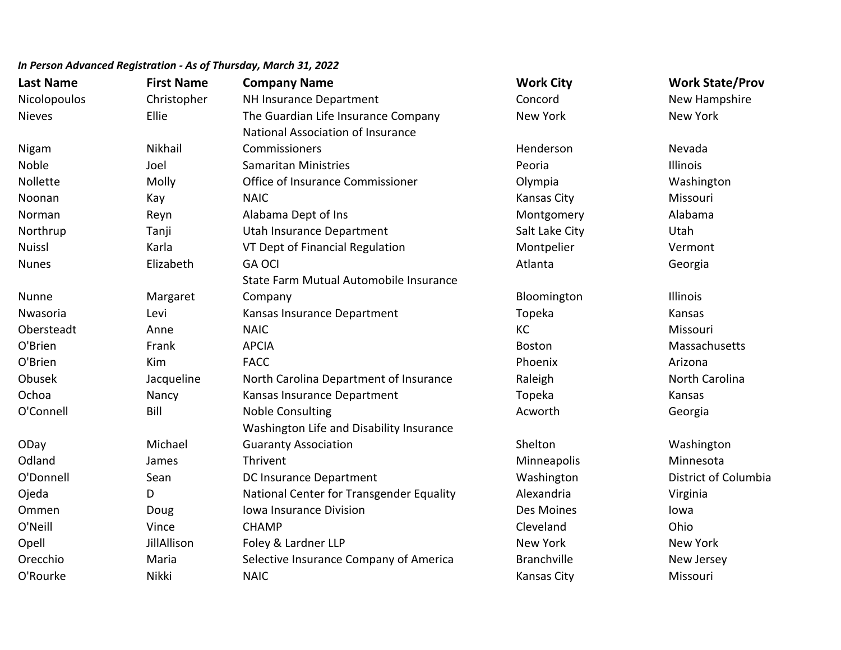| <b>Last Name</b> | <b>First Name</b> | <b>Company Name</b>                      | <b>Work City</b>   | <b>Work State/Prov</b> |
|------------------|-------------------|------------------------------------------|--------------------|------------------------|
| Nicolopoulos     | Christopher       | NH Insurance Department                  | Concord            | New Hampshire          |
| <b>Nieves</b>    | Ellie             | The Guardian Life Insurance Company      | <b>New York</b>    | <b>New York</b>        |
|                  |                   | National Association of Insurance        |                    |                        |
| Nigam            | Nikhail           | Commissioners                            | Henderson          | Nevada                 |
| Noble            | Joel              | <b>Samaritan Ministries</b>              | Peoria             | <b>Illinois</b>        |
| Nollette         | Molly             | Office of Insurance Commissioner         | Olympia            | Washington             |
| Noonan           | Kay               | <b>NAIC</b>                              | Kansas City        | Missouri               |
| Norman           | Reyn              | Alabama Dept of Ins                      | Montgomery         | Alabama                |
| Northrup         | Tanji             | Utah Insurance Department                | Salt Lake City     | Utah                   |
| <b>Nuissl</b>    | Karla             | VT Dept of Financial Regulation          | Montpelier         | Vermont                |
| <b>Nunes</b>     | Elizabeth         | <b>GA OCI</b>                            | Atlanta            | Georgia                |
|                  |                   | State Farm Mutual Automobile Insurance   |                    |                        |
| Nunne            | Margaret          | Company                                  | Bloomington        | Illinois               |
| Nwasoria         | Levi              | Kansas Insurance Department              | Topeka             | Kansas                 |
| Obersteadt       | Anne              | <b>NAIC</b>                              | KC                 | Missouri               |
| O'Brien          | Frank             | <b>APCIA</b>                             | <b>Boston</b>      | Massachusetts          |
| O'Brien          | Kim               | <b>FACC</b>                              | Phoenix            | Arizona                |
| Obusek           | Jacqueline        | North Carolina Department of Insurance   | Raleigh            | North Carolina         |
| Ochoa            | Nancy             | Kansas Insurance Department              | Topeka             | Kansas                 |
| O'Connell        | Bill              | <b>Noble Consulting</b>                  | Acworth            | Georgia                |
|                  |                   | Washington Life and Disability Insurance |                    |                        |
| ODay             | Michael           | <b>Guaranty Association</b>              | Shelton            | Washington             |
| Odland           | James             | Thrivent                                 | Minneapolis        | Minnesota              |
| O'Donnell        | Sean              | <b>DC Insurance Department</b>           | Washington         | District of Columbia   |
| Ojeda            | D                 | National Center for Transgender Equality | Alexandria         | Virginia               |
| Ommen            | Doug              | Iowa Insurance Division                  | Des Moines         | lowa                   |
| O'Neill          | Vince             | <b>CHAMP</b>                             | Cleveland          | Ohio                   |
| Opell            | JillAllison       | Foley & Lardner LLP                      | <b>New York</b>    | <b>New York</b>        |
| Orecchio         | Maria             | Selective Insurance Company of America   | <b>Branchville</b> | New Jersey             |
| O'Rourke         | Nikki             | <b>NAIC</b>                              | Kansas City        | Missouri               |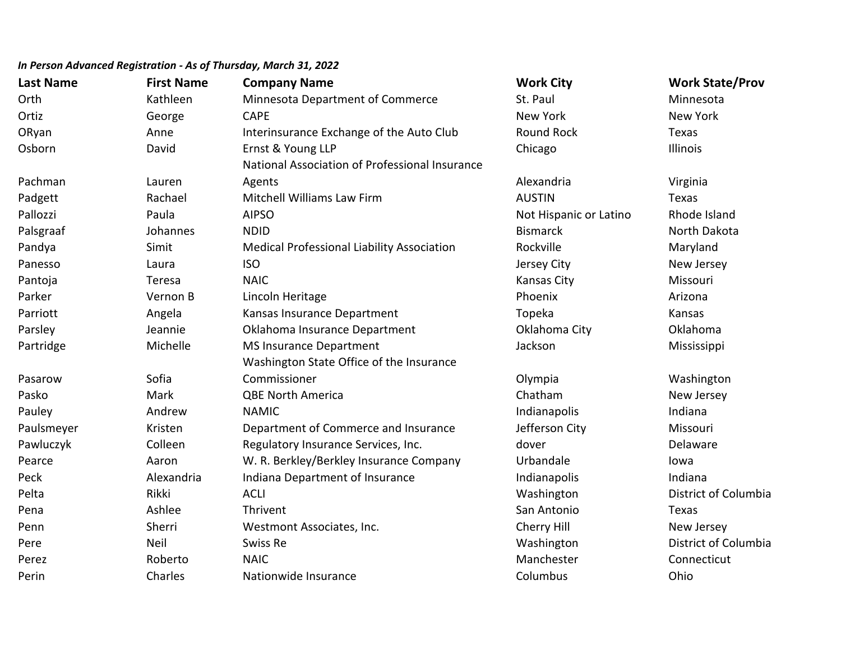| <b>Last Name</b> | <b>First Name</b> | <b>Company Name</b>                               | <b>Work City</b>       | <b>Work State/Prov</b> |
|------------------|-------------------|---------------------------------------------------|------------------------|------------------------|
| Orth             | Kathleen          | Minnesota Department of Commerce                  | St. Paul               | Minnesota              |
| Ortiz            | George            | <b>CAPE</b>                                       | New York               | <b>New York</b>        |
| ORyan            | Anne              | Interinsurance Exchange of the Auto Club          | <b>Round Rock</b>      | Texas                  |
| Osborn           | David             | Ernst & Young LLP                                 | Chicago                | Illinois               |
|                  |                   | National Association of Professional Insurance    |                        |                        |
| Pachman          | Lauren            | Agents                                            | Alexandria             | Virginia               |
| Padgett          | Rachael           | Mitchell Williams Law Firm                        | <b>AUSTIN</b>          | Texas                  |
| Pallozzi         | Paula             | <b>AIPSO</b>                                      | Not Hispanic or Latino | Rhode Island           |
| Palsgraaf        | Johannes          | <b>NDID</b>                                       | <b>Bismarck</b>        | North Dakota           |
| Pandya           | Simit             | <b>Medical Professional Liability Association</b> | Rockville              | Maryland               |
| Panesso          | Laura             | <b>ISO</b>                                        | Jersey City            | New Jersey             |
| Pantoja          | Teresa            | <b>NAIC</b>                                       | <b>Kansas City</b>     | Missouri               |
| Parker           | Vernon B          | Lincoln Heritage                                  | Phoenix                | Arizona                |
| Parriott         | Angela            | Kansas Insurance Department                       | Topeka                 | Kansas                 |
| Parsley          | Jeannie           | Oklahoma Insurance Department                     | Oklahoma City          | Oklahoma               |
| Partridge        | Michelle          | <b>MS Insurance Department</b>                    | Jackson                | Mississippi            |
|                  |                   | Washington State Office of the Insurance          |                        |                        |
| Pasarow          | Sofia             | Commissioner                                      | Olympia                | Washington             |
| Pasko            | <b>Mark</b>       | <b>QBE North America</b>                          | Chatham                | New Jersey             |
| Pauley           | Andrew            | <b>NAMIC</b>                                      | Indianapolis           | Indiana                |
| Paulsmeyer       | Kristen           | Department of Commerce and Insurance              | Jefferson City         | Missouri               |
| Pawluczyk        | Colleen           | Regulatory Insurance Services, Inc.               | dover                  | Delaware               |
| Pearce           | Aaron             | W. R. Berkley/Berkley Insurance Company           | Urbandale              | lowa                   |
| Peck             | Alexandria        | Indiana Department of Insurance                   | Indianapolis           | Indiana                |
| Pelta            | Rikki             | <b>ACLI</b>                                       | Washington             | District of Columbia   |
| Pena             | Ashlee            | Thrivent                                          | San Antonio            | Texas                  |
| Penn             | Sherri            | Westmont Associates, Inc.                         | Cherry Hill            | New Jersey             |
| Pere             | <b>Neil</b>       | Swiss Re                                          | Washington             | District of Columbia   |
| Perez            | Roberto           | <b>NAIC</b>                                       | Manchester             | Connecticut            |
| Perin            | Charles           | Nationwide Insurance                              | Columbus               | Ohio                   |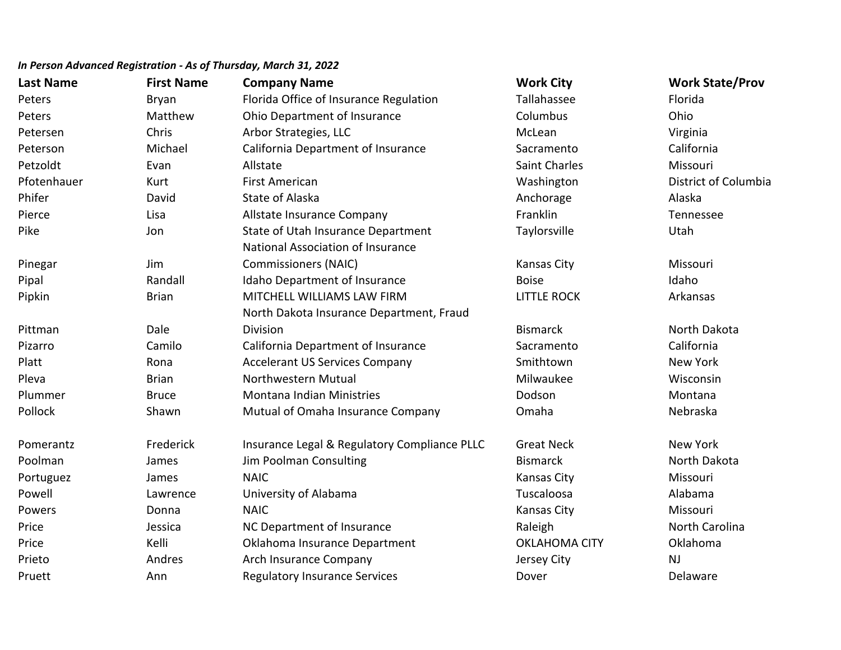# **Last Name First Name Company Name Work City Work State/Prov** Peters **Example 2** Bryan Florida Office of Insurance Regulation Tallahassee **Florida** Peters **Matthew Ohio Department of Insurance** Columbus Columbus Ohio Petersen Chris Chris Arbor Strategies, LLC Chris Christene McLean Virginia Peterson **Michael California Department of Insurance** Sacramento California Petzoldt Evan Allstate Saint Charles Missouri Pfotenhauer **Mathem Columbia** First American **National Columbia** Columbia Protein Mashington District of Columbia Phifer **State of Alaska** Anchorage **Alaska** Anchorage Alaska Pierce **Lisa Company Company** Franklin Tennessee Company Franklin Tennessee Pike The State of Utah Insurance Department Taylorsville The Utah Utah Insurance Department Pinegar Jim National Association of Insurance Commissioners (NAIC) The Commissioners (NAIC) and Missouri Missouri Missouri Missouri Missouri Missouri Missouri Pipal **Randall** Idaho Department of Insurance **Insurance** Boise Boise Idaho Idaho Pipkin Brian MITCHELL WILLIAMS LAW FIRM LITTLE ROCK Arkansas Pittman Dale North Dakota Insurance Department, Fraud Division **Bismarck** North Dakota **North Dakota** Bismarck North Dakota Pizarro Camilo California Department of Insurance Sacramento California Platt **Rona** Accelerant US Services Company Smithtown Smithtown New York Pleva Brian Northwestern Mutual Milwaukee Wisconsin Plummer Bruce Montana Indian Ministries Dodson Montana Pollock Shawn Mutual of Omaha Insurance Company Omaha Nebraska Pomerantz Frederick Insurance Legal & Regulatory Compliance PLLC Great Neck New York Poolman Mames James Jim Poolman Consulting North Dakota Bismarck Bismarck North Dakota Portuguez **Southern Manual Communist City** Missouring Missouring Missouring Missouring Missouring Missouring Missouring Missouring Missouring Missouring Missouring Missouring Missouring Missouring Missouring Missouring Mis Powell **Research Lawrence** University of Alabama **Network Club Club Club Club Club** Club Club Club Club Club Club Powers **Example 20 Inc. In the U.S. A. Inc. A. Inc. A. Inc. A. Inc. A. Inc. A. Inc. A. Inc. A. Inc. A. Inc. A.** Missouri Price **South Accord Contract Contract Contract Contract Contract Contract Contract Contract Price Contract Price**<br>
Raleigh North Carolina Price **School Communist Communist Communist Communist Communist Communist Communist Communist Communist Communist Communist Communist Communist Communist Communist Communist Communist Communist Communist Communist Communis** Prieto **Andres Arch Insurance Company** Archestral Archives Archestral Archestral Archestral Archestral Archestral A Pruett **Ann** Ann Regulatory Insurance Services **Ann** Dover Delaware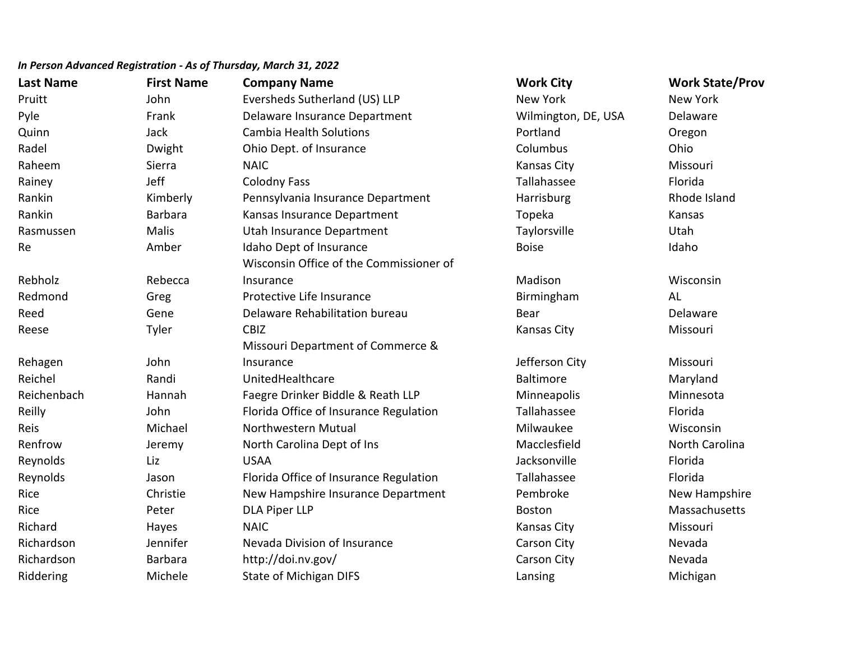| <b>Last Name</b> | <b>First Name</b> | <b>Company Name</b>                     | <b>Work City</b>    | <b>Work State/Prov</b> |
|------------------|-------------------|-----------------------------------------|---------------------|------------------------|
| Pruitt           | John              | Eversheds Sutherland (US) LLP           | New York            | New York               |
| Pyle             | Frank             | Delaware Insurance Department           | Wilmington, DE, USA | Delaware               |
| Quinn            | Jack              | <b>Cambia Health Solutions</b>          | Portland            | Oregon                 |
| Radel            | Dwight            | Ohio Dept. of Insurance                 | Columbus            | Ohio                   |
| Raheem           | Sierra            | <b>NAIC</b>                             | Kansas City         | Missouri               |
| Rainey           | Jeff              | <b>Colodny Fass</b>                     | Tallahassee         | Florida                |
| Rankin           | Kimberly          | Pennsylvania Insurance Department       | Harrisburg          | Rhode Island           |
| Rankin           | Barbara           | Kansas Insurance Department             | Topeka              | Kansas                 |
| Rasmussen        | <b>Malis</b>      | Utah Insurance Department               | Taylorsville        | Utah                   |
| Re               | Amber             | Idaho Dept of Insurance                 | <b>Boise</b>        | Idaho                  |
|                  |                   | Wisconsin Office of the Commissioner of |                     |                        |
| Rebholz          | Rebecca           | Insurance                               | Madison             | Wisconsin              |
| Redmond          | Greg              | Protective Life Insurance               | Birmingham          | AL                     |
| Reed             | Gene              | Delaware Rehabilitation bureau          | Bear                | Delaware               |
| Reese            | Tyler             | <b>CBIZ</b>                             | <b>Kansas City</b>  | Missouri               |
|                  |                   | Missouri Department of Commerce &       |                     |                        |
| Rehagen          | John              | Insurance                               | Jefferson City      | Missouri               |
| Reichel          | Randi             | UnitedHealthcare                        | <b>Baltimore</b>    | Maryland               |
| Reichenbach      | Hannah            | Faegre Drinker Biddle & Reath LLP       | Minneapolis         | Minnesota              |
| Reilly           | John              | Florida Office of Insurance Regulation  | Tallahassee         | Florida                |
| Reis             | Michael           | Northwestern Mutual                     | Milwaukee           | Wisconsin              |
| Renfrow          | Jeremy            | North Carolina Dept of Ins              | Macclesfield        | North Carolina         |
| Reynolds         | Liz               | <b>USAA</b>                             | Jacksonville        | Florida                |
| Reynolds         | Jason             | Florida Office of Insurance Regulation  | Tallahassee         | Florida                |
| Rice             | Christie          | New Hampshire Insurance Department      | Pembroke            | New Hampshire          |
| Rice             | Peter             | <b>DLA Piper LLP</b>                    | <b>Boston</b>       | Massachusetts          |
| Richard          | Hayes             | <b>NAIC</b>                             | Kansas City         | Missouri               |
| Richardson       | Jennifer          | Nevada Division of Insurance            | <b>Carson City</b>  | Nevada                 |
| Richardson       | <b>Barbara</b>    | http://doi.nv.gov/                      | Carson City         | Nevada                 |
| Riddering        | Michele           | <b>State of Michigan DIFS</b>           | Lansing             | Michigan               |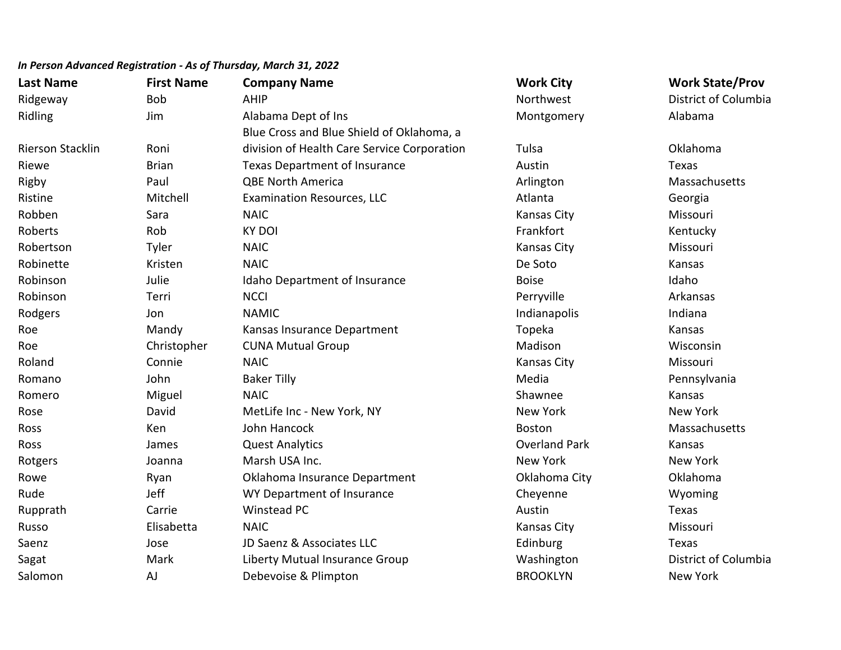| <b>Last Name</b>        | <b>First Name</b> | <b>Company Name</b>                         | <b>Work City</b>     | <b>Work State/Prov</b> |
|-------------------------|-------------------|---------------------------------------------|----------------------|------------------------|
| Ridgeway                | <b>Bob</b>        | <b>AHIP</b>                                 | Northwest            | District of Columbia   |
| Ridling                 | Jim               | Alabama Dept of Ins                         | Montgomery           | Alabama                |
|                         |                   | Blue Cross and Blue Shield of Oklahoma, a   |                      |                        |
| <b>Rierson Stacklin</b> | Roni              | division of Health Care Service Corporation | Tulsa                | Oklahoma               |
| Riewe                   | <b>Brian</b>      | <b>Texas Department of Insurance</b>        | Austin               | Texas                  |
| Rigby                   | Paul              | <b>QBE North America</b>                    | Arlington            | Massachusetts          |
| Ristine                 | Mitchell          | <b>Examination Resources, LLC</b>           | Atlanta              | Georgia                |
| Robben                  | Sara              | <b>NAIC</b>                                 | <b>Kansas City</b>   | Missouri               |
| Roberts                 | Rob               | <b>KY DOI</b>                               | Frankfort            | Kentucky               |
| Robertson               | Tyler             | <b>NAIC</b>                                 | <b>Kansas City</b>   | Missouri               |
| Robinette               | Kristen           | <b>NAIC</b>                                 | De Soto              | Kansas                 |
| Robinson                | Julie             | Idaho Department of Insurance               | <b>Boise</b>         | Idaho                  |
| Robinson                | Terri             | <b>NCCI</b>                                 | Perryville           | Arkansas               |
| Rodgers                 | Jon               | <b>NAMIC</b>                                | Indianapolis         | Indiana                |
| Roe                     | Mandy             | Kansas Insurance Department                 | Topeka               | Kansas                 |
| Roe                     | Christopher       | <b>CUNA Mutual Group</b>                    | Madison              | Wisconsin              |
| Roland                  | Connie            | <b>NAIC</b>                                 | Kansas City          | Missouri               |
| Romano                  | John              | <b>Baker Tilly</b>                          | Media                | Pennsylvania           |
| Romero                  | Miguel            | <b>NAIC</b>                                 | Shawnee              | Kansas                 |
| Rose                    | David             | MetLife Inc - New York, NY                  | <b>New York</b>      | <b>New York</b>        |
| Ross                    | Ken               | John Hancock                                | <b>Boston</b>        | Massachusetts          |
| Ross                    | James             | <b>Quest Analytics</b>                      | <b>Overland Park</b> | Kansas                 |
| Rotgers                 | Joanna            | Marsh USA Inc.                              | New York             | <b>New York</b>        |
| Rowe                    | Ryan              | Oklahoma Insurance Department               | Oklahoma City        | Oklahoma               |
| Rude                    | Jeff              | WY Department of Insurance                  | Cheyenne             | Wyoming                |
| Rupprath                | Carrie            | <b>Winstead PC</b>                          | Austin               | Texas                  |
| Russo                   | Elisabetta        | <b>NAIC</b>                                 | <b>Kansas City</b>   | Missouri               |
| Saenz                   | Jose              | JD Saenz & Associates LLC                   | Edinburg             | Texas                  |
| Sagat                   | Mark              | Liberty Mutual Insurance Group              | Washington           | District of Columbia   |
| Salomon                 | <b>AJ</b>         | Debevoise & Plimpton                        | <b>BROOKLYN</b>      | <b>New York</b>        |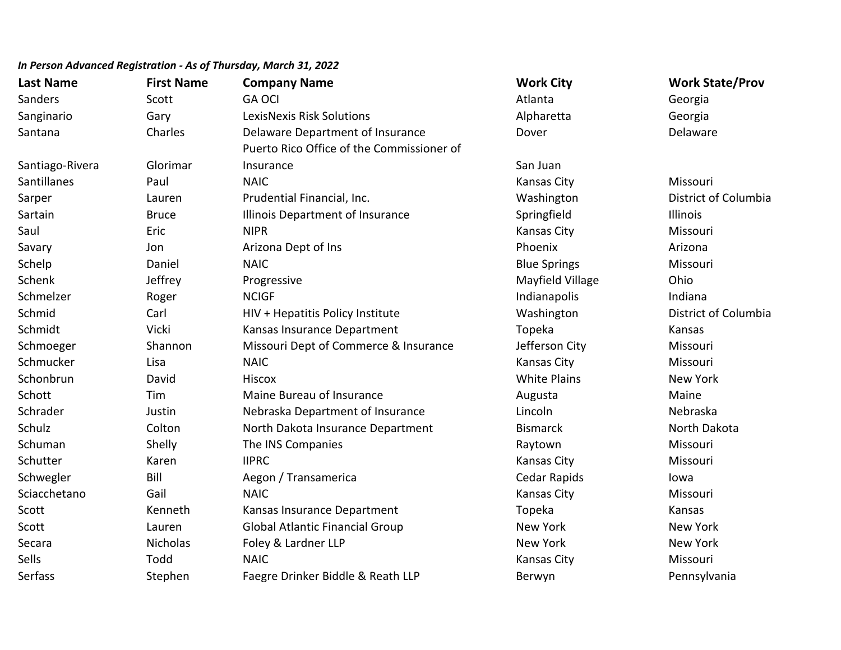## **Last Name First Name Company Name Work City Work State/Prov** *In Person Advanced Registration - As of Thursday, March 31, 2022* Sanders Scott GA OCI **GA OCI Atlanta** Georgia Sanginario Gary LexisNexis Risk Solutions Alpharetta Georgia Santana Charles Delaware Department of Insurance Nover Dover Delaware Delaware Santiago-Rivera Glorimar Puerto Rico Office of the Commissioner of **Insurance** San Juan San Juan San Juan San Juan San Juan San Juan San Juan San Juan San Juan San Juan San Juan San Juan San Juan San Juan San Juan San Juan San Juan San Juan San Juan San Juan San Juan San Juan San Juan San Santillanes Paul NAIC Kansas City Missouri Sarper Lauren Prudential Financial, Inc. Washington District of Columbia Sartain **Sartain** Bruce **Illinois Department of Insurance** Springfield **Illinois** Illinois Saul Eric NIPR Kansas City Missouri Savary **Savary Marizona Dept of Ins** Controller and Dept of Ins Arizona Dept of Ins Arizona Dept of Ins Arizona Dept of Ins Arizona Dept of Ins Arizona Dept of Ins Arizona Dept of Ins Arizona Dept of Ins Arizona Dept of In Schelp **Saniel Community Community Community** Daniel Missouri Missouri Blue Springs **Missouri** Schenk Jeffrey Progressive Mayfield Village Ohio Schmelzer **Roger Indiana** Roger ROCIGF **Indianapolis** Indianapolis Indiana Schmid Carl HIV + Hepatitis Policy Institute Washington District of Columbia Schmidt Vicki Kansas Insurance Department Topeka Kansas Schmoeger Shannon Missouri Dept of Commerce & Insurance Jefferson City Missouri Schmucker Lisa NAIC Kansas City Missouri Schonbrun David Hiscox White Plains New York Schott Tim Maine Bureau of Insurance Augusta Augusta Maine Schrader **Schrader Manual Insurance** Lincoln Mebraska Department of Insurance Lincoln Lincoln Nebraska Schulz Colton North Dakota Insurance Department Bismarck Bismarck North Dakota Schuman Shelly The INS Companies **Shelly Shelly Shelly Raytown** Raytown Missouri Schutter Karen IIPRC Kansas City Missouri Schwegler Bill Bill Aegon / Transamerica Cedar Rapids Central Accounts Cedar Rapids Iowa Sciacchetano Gail NAIC Kansas City Missouri Scott Kenneth Kansas Insurance Department Topeka Kansas Scott **Subsett** Lauren Global Atlantic Financial Group New York New York New York Secara **Nicholas Foley & Lardner LLP** New York New York New York New York New York Sells Todd NAIC Kansas City Missouri Serfass Stephen Faegre Drinker Biddle & Reath LLP Berwyn Berwyn Pennsylvania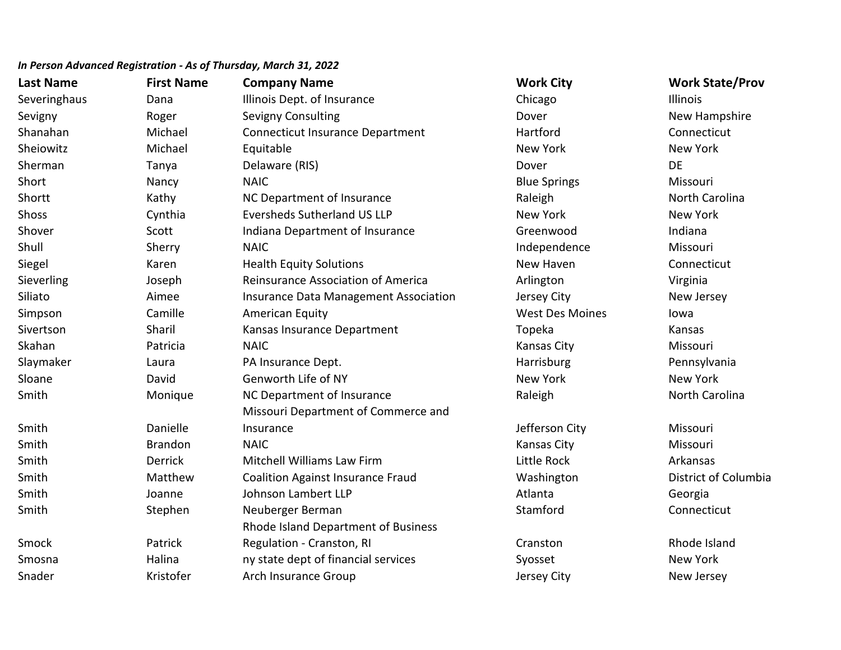| <b>Last Name</b> | <b>First Name</b> | <b>Company Name</b>                      | <b>Work City</b>       | <b>Work State/Prov</b> |
|------------------|-------------------|------------------------------------------|------------------------|------------------------|
| Severinghaus     | Dana              | Illinois Dept. of Insurance              | Chicago                | <b>Illinois</b>        |
| Sevigny          | Roger             | <b>Sevigny Consulting</b>                | Dover                  | New Hampshire          |
| Shanahan         | Michael           | <b>Connecticut Insurance Department</b>  | Hartford               | Connecticut            |
| Sheiowitz        | Michael           | Equitable                                | New York               | <b>New York</b>        |
| Sherman          | Tanya             | Delaware (RIS)                           | Dover                  | DE                     |
| Short            | Nancy             | <b>NAIC</b>                              | <b>Blue Springs</b>    | Missouri               |
| Shortt           | Kathy             | NC Department of Insurance               | Raleigh                | North Carolina         |
| Shoss            | Cynthia           | <b>Eversheds Sutherland US LLP</b>       | New York               | New York               |
| Shover           | Scott             | Indiana Department of Insurance          | Greenwood              | Indiana                |
| Shull            | Sherry            | <b>NAIC</b>                              | Independence           | Missouri               |
| Siegel           | Karen             | <b>Health Equity Solutions</b>           | New Haven              | Connecticut            |
| Sieverling       | Joseph            | Reinsurance Association of America       | Arlington              | Virginia               |
| Siliato          | Aimee             | Insurance Data Management Association    | Jersey City            | New Jersey             |
| Simpson          | Camille           | <b>American Equity</b>                   | <b>West Des Moines</b> | lowa                   |
| Sivertson        | Sharil            | Kansas Insurance Department              | Topeka                 | Kansas                 |
| Skahan           | Patricia          | <b>NAIC</b>                              | <b>Kansas City</b>     | Missouri               |
| Slaymaker        | Laura             | PA Insurance Dept.                       | Harrisburg             | Pennsylvania           |
| Sloane           | David             | Genworth Life of NY                      | <b>New York</b>        | <b>New York</b>        |
| Smith            | Monique           | NC Department of Insurance               | Raleigh                | North Carolina         |
|                  |                   | Missouri Department of Commerce and      |                        |                        |
| Smith            | Danielle          | Insurance                                | Jefferson City         | Missouri               |
| Smith            | <b>Brandon</b>    | <b>NAIC</b>                              | <b>Kansas City</b>     | Missouri               |
| Smith            | <b>Derrick</b>    | Mitchell Williams Law Firm               | Little Rock            | Arkansas               |
| Smith            | Matthew           | <b>Coalition Against Insurance Fraud</b> | Washington             | District of Columbia   |
| Smith            | Joanne            | Johnson Lambert LLP                      | Atlanta                | Georgia                |
| Smith            | Stephen           | Neuberger Berman                         | Stamford               | Connecticut            |
|                  |                   | Rhode Island Department of Business      |                        |                        |
| Smock            | Patrick           | Regulation - Cranston, RI                | Cranston               | Rhode Island           |
| Smosna           | Halina            | ny state dept of financial services      | Syosset                | <b>New York</b>        |
| Snader           | Kristofer         | Arch Insurance Group                     | Jersey City            | New Jersey             |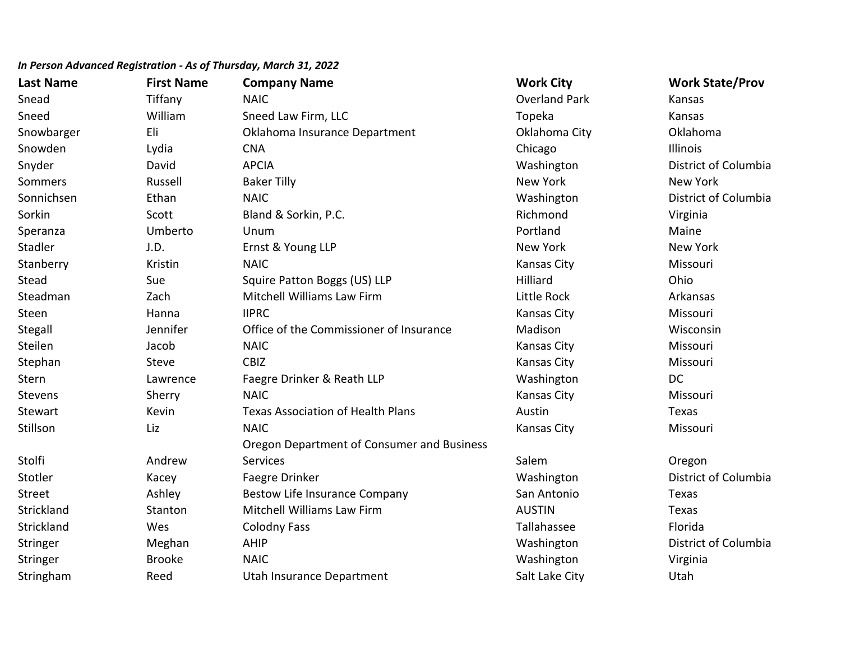| <b>Last Name</b> | <b>First Name</b> | <b>Company Name</b>                        | <b>Work City</b>     | <b>Work State/Prov</b> |
|------------------|-------------------|--------------------------------------------|----------------------|------------------------|
| Snead            | Tiffany           | <b>NAIC</b>                                | <b>Overland Park</b> | Kansas                 |
| Sneed            | William           | Sneed Law Firm, LLC                        | Topeka               | Kansas                 |
| Snowbarger       | Eli               | Oklahoma Insurance Department              | Oklahoma City        | Oklahoma               |
| Snowden          | Lydia             | <b>CNA</b>                                 | Chicago              | Illinois               |
| Snyder           | David             | <b>APCIA</b>                               | Washington           | District of Columbia   |
| Sommers          | Russell           | <b>Baker Tilly</b>                         | <b>New York</b>      | New York               |
| Sonnichsen       | Ethan             | <b>NAIC</b>                                | Washington           | District of Columbia   |
| Sorkin           | Scott             | Bland & Sorkin, P.C.                       | Richmond             | Virginia               |
| Speranza         | Umberto           | Unum                                       | Portland             | Maine                  |
| Stadler          | J.D.              | Ernst & Young LLP                          | New York             | <b>New York</b>        |
| Stanberry        | Kristin           | <b>NAIC</b>                                | <b>Kansas City</b>   | Missouri               |
| Stead            | Sue               | Squire Patton Boggs (US) LLP               | Hilliard             | Ohio                   |
| Steadman         | Zach              | <b>Mitchell Williams Law Firm</b>          | Little Rock          | Arkansas               |
| Steen            | Hanna             | <b>IIPRC</b>                               | <b>Kansas City</b>   | Missouri               |
| Stegall          | Jennifer          | Office of the Commissioner of Insurance    | Madison              | Wisconsin              |
| Steilen          | Jacob             | <b>NAIC</b>                                | <b>Kansas City</b>   | Missouri               |
| Stephan          | <b>Steve</b>      | <b>CBIZ</b>                                | Kansas City          | Missouri               |
| Stern            | Lawrence          | Faegre Drinker & Reath LLP                 | Washington           | <b>DC</b>              |
| <b>Stevens</b>   | Sherry            | <b>NAIC</b>                                | Kansas City          | Missouri               |
| Stewart          | Kevin             | <b>Texas Association of Health Plans</b>   | Austin               | Texas                  |
| Stillson         | Liz               | <b>NAIC</b>                                | <b>Kansas City</b>   | Missouri               |
|                  |                   | Oregon Department of Consumer and Business |                      |                        |
| Stolfi           | Andrew            | <b>Services</b>                            | Salem                | Oregon                 |
| Stotler          | Kacey             | Faegre Drinker                             | Washington           | District of Columbia   |
| Street           | Ashley            | <b>Bestow Life Insurance Company</b>       | San Antonio          | Texas                  |
| Strickland       | Stanton           | Mitchell Williams Law Firm                 | <b>AUSTIN</b>        | Texas                  |
| Strickland       | Wes               | <b>Colodny Fass</b>                        | Tallahassee          | Florida                |
| Stringer         | Meghan            | AHIP                                       | Washington           | District of Columbia   |
| Stringer         | <b>Brooke</b>     | <b>NAIC</b>                                | Washington           | Virginia               |
| Stringham        | Reed              | Utah Insurance Department                  | Salt Lake City       | Utah                   |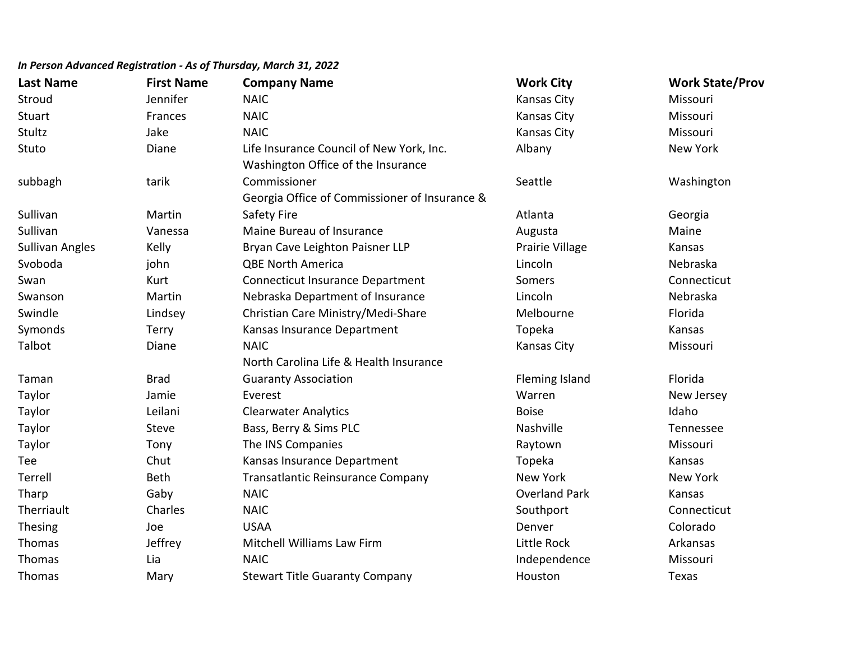| <b>Last Name</b>       | <b>First Name</b> | <b>Company Name</b>                           | <b>Work City</b>      | <b>Work State/Prov</b> |
|------------------------|-------------------|-----------------------------------------------|-----------------------|------------------------|
| Stroud                 | Jennifer          | <b>NAIC</b>                                   | Kansas City           | Missouri               |
| Stuart                 | Frances           | <b>NAIC</b>                                   | <b>Kansas City</b>    | Missouri               |
| Stultz                 | Jake              | <b>NAIC</b>                                   | Kansas City           | Missouri               |
| Stuto                  | Diane             | Life Insurance Council of New York, Inc.      | Albany                | New York               |
|                        |                   | Washington Office of the Insurance            |                       |                        |
| subbagh                | tarik             | Commissioner                                  | Seattle               | Washington             |
|                        |                   | Georgia Office of Commissioner of Insurance & |                       |                        |
| Sullivan               | Martin            | Safety Fire                                   | Atlanta               | Georgia                |
| Sullivan               | Vanessa           | Maine Bureau of Insurance                     | Augusta               | Maine                  |
| <b>Sullivan Angles</b> | Kelly             | Bryan Cave Leighton Paisner LLP               | Prairie Village       | Kansas                 |
| Svoboda                | john              | <b>QBE North America</b>                      | Lincoln               | Nebraska               |
| Swan                   | Kurt              | <b>Connecticut Insurance Department</b>       | Somers                | Connecticut            |
| Swanson                | Martin            | Nebraska Department of Insurance              | Lincoln               | Nebraska               |
| Swindle                | Lindsey           | Christian Care Ministry/Medi-Share            | Melbourne             | Florida                |
| Symonds                | <b>Terry</b>      | Kansas Insurance Department                   | Topeka                | Kansas                 |
| Talbot                 | Diane             | <b>NAIC</b>                                   | <b>Kansas City</b>    | Missouri               |
|                        |                   | North Carolina Life & Health Insurance        |                       |                        |
| Taman                  | <b>Brad</b>       | <b>Guaranty Association</b>                   | <b>Fleming Island</b> | Florida                |
| Taylor                 | Jamie             | Everest                                       | Warren                | New Jersey             |
| Taylor                 | Leilani           | <b>Clearwater Analytics</b>                   | <b>Boise</b>          | Idaho                  |
| Taylor                 | Steve             | Bass, Berry & Sims PLC                        | Nashville             | Tennessee              |
| Taylor                 | Tony              | The INS Companies                             | Raytown               | Missouri               |
| Tee                    | Chut              | Kansas Insurance Department                   | Topeka                | Kansas                 |
| Terrell                | Beth              | Transatlantic Reinsurance Company             | New York              | New York               |
| Tharp                  | Gaby              | <b>NAIC</b>                                   | <b>Overland Park</b>  | Kansas                 |
| Therriault             | Charles           | <b>NAIC</b>                                   | Southport             | Connecticut            |
| Thesing                | Joe               | <b>USAA</b>                                   | Denver                | Colorado               |
| Thomas                 | Jeffrey           | Mitchell Williams Law Firm                    | Little Rock           | Arkansas               |
| Thomas                 | Lia               | <b>NAIC</b>                                   | Independence          | Missouri               |
| Thomas                 | Mary              | <b>Stewart Title Guaranty Company</b>         | Houston               | Texas                  |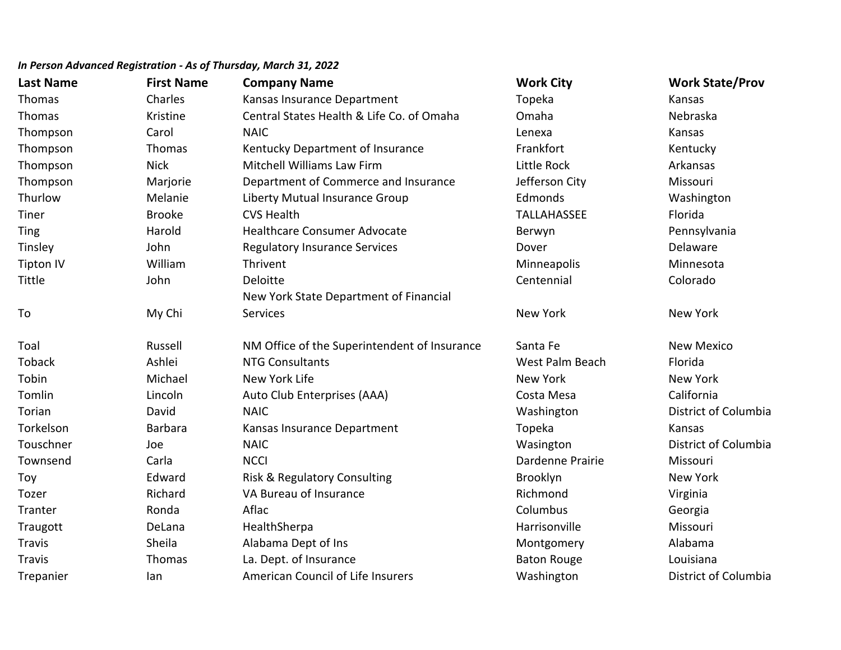| <b>Last Name</b> | <b>First Name</b> | <b>Company Name</b>                          | <b>Work City</b>   | <b>Work State/Prov</b> |
|------------------|-------------------|----------------------------------------------|--------------------|------------------------|
| Thomas           | Charles           | Kansas Insurance Department                  | Topeka             | Kansas                 |
| Thomas           | Kristine          | Central States Health & Life Co. of Omaha    | Omaha              | Nebraska               |
| Thompson         | Carol             | <b>NAIC</b>                                  | Lenexa             | Kansas                 |
| Thompson         | Thomas            | Kentucky Department of Insurance             | Frankfort          | Kentucky               |
| Thompson         | <b>Nick</b>       | <b>Mitchell Williams Law Firm</b>            | Little Rock        | Arkansas               |
| Thompson         | Marjorie          | Department of Commerce and Insurance         | Jefferson City     | Missouri               |
| Thurlow          | Melanie           | Liberty Mutual Insurance Group               | Edmonds            | Washington             |
| Tiner            | <b>Brooke</b>     | <b>CVS Health</b>                            | <b>TALLAHASSEE</b> | Florida                |
| <b>Ting</b>      | Harold            | Healthcare Consumer Advocate                 | Berwyn             | Pennsylvania           |
| Tinsley          | John              | <b>Regulatory Insurance Services</b>         | Dover              | Delaware               |
| Tipton IV        | William           | Thrivent                                     | Minneapolis        | Minnesota              |
| Tittle           | John              | Deloitte                                     | Centennial         | Colorado               |
|                  |                   | New York State Department of Financial       |                    |                        |
| To               | My Chi            | <b>Services</b>                              | <b>New York</b>    | <b>New York</b>        |
| Toal             | Russell           | NM Office of the Superintendent of Insurance | Santa Fe           | <b>New Mexico</b>      |
| Toback           | Ashlei            | <b>NTG Consultants</b>                       | West Palm Beach    | Florida                |
| Tobin            | Michael           | New York Life                                | New York           | <b>New York</b>        |
| Tomlin           | Lincoln           | Auto Club Enterprises (AAA)                  | Costa Mesa         | California             |
| Torian           | David             | <b>NAIC</b>                                  | Washington         | District of Columbia   |
| Torkelson        | <b>Barbara</b>    | Kansas Insurance Department                  | Topeka             | Kansas                 |
| Touschner        | Joe               | <b>NAIC</b>                                  | Wasington          | District of Columbia   |
| Townsend         | Carla             | <b>NCCI</b>                                  | Dardenne Prairie   | Missouri               |
| Toy              | Edward            | Risk & Regulatory Consulting                 | Brooklyn           | <b>New York</b>        |
| Tozer            | Richard           | VA Bureau of Insurance                       | Richmond           | Virginia               |
| Tranter          | Ronda             | Aflac                                        | Columbus           | Georgia                |
| Traugott         | DeLana            | HealthSherpa                                 | Harrisonville      | Missouri               |
| <b>Travis</b>    | Sheila            | Alabama Dept of Ins                          | Montgomery         | Alabama                |
| <b>Travis</b>    | Thomas            | La. Dept. of Insurance                       | <b>Baton Rouge</b> | Louisiana              |
| Trepanier        | lan               | American Council of Life Insurers            | Washington         | District of Columbia   |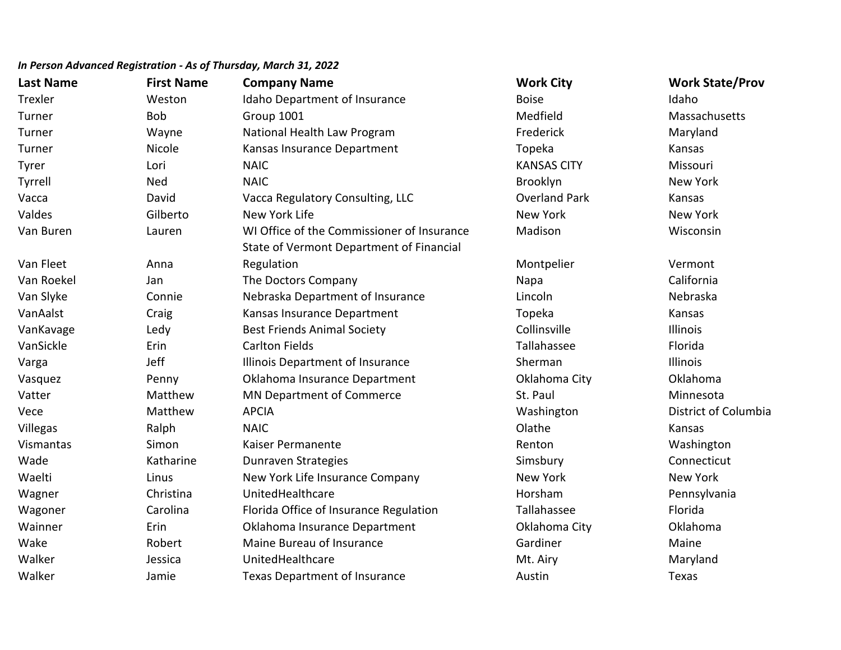| <b>Last Name</b> | <b>First Name</b> | <b>Company Name</b>                        | <b>Work City</b>     | <b>Work State/Prov</b> |
|------------------|-------------------|--------------------------------------------|----------------------|------------------------|
| Trexler          | Weston            | Idaho Department of Insurance              | <b>Boise</b>         | Idaho                  |
| Turner           | <b>Bob</b>        | Group 1001                                 | Medfield             | Massachusetts          |
| Turner           | Wayne             | National Health Law Program                | Frederick            | Maryland               |
| Turner           | Nicole            | Kansas Insurance Department                | Topeka               | Kansas                 |
| <b>Tyrer</b>     | Lori              | <b>NAIC</b>                                | <b>KANSAS CITY</b>   | Missouri               |
| Tyrrell          | Ned               | <b>NAIC</b>                                | Brooklyn             | New York               |
| Vacca            | David             | Vacca Regulatory Consulting, LLC           | <b>Overland Park</b> | Kansas                 |
| Valdes           | Gilberto          | New York Life                              | <b>New York</b>      | New York               |
| Van Buren        | Lauren            | WI Office of the Commissioner of Insurance | Madison              | Wisconsin              |
|                  |                   | State of Vermont Department of Financial   |                      |                        |
| Van Fleet        | Anna              | Regulation                                 | Montpelier           | Vermont                |
| Van Roekel       | Jan               | The Doctors Company                        | Napa                 | California             |
| Van Slyke        | Connie            | Nebraska Department of Insurance           | Lincoln              | Nebraska               |
| VanAalst         | Craig             | Kansas Insurance Department                | Topeka               | Kansas                 |
| VanKavage        | Ledy              | <b>Best Friends Animal Society</b>         | Collinsville         | Illinois               |
| VanSickle        | Erin              | <b>Carlton Fields</b>                      | Tallahassee          | Florida                |
| Varga            | Jeff              | Illinois Department of Insurance           | Sherman              | Illinois               |
| Vasquez          | Penny             | Oklahoma Insurance Department              | Oklahoma City        | Oklahoma               |
| Vatter           | Matthew           | MN Department of Commerce                  | St. Paul             | Minnesota              |
| Vece             | Matthew           | <b>APCIA</b>                               | Washington           | District of Columbia   |
| Villegas         | Ralph             | <b>NAIC</b>                                | Olathe               | Kansas                 |
| Vismantas        | Simon             | Kaiser Permanente                          | Renton               | Washington             |
| Wade             | Katharine         | Dunraven Strategies                        | Simsbury             | Connecticut            |
| Waelti           | Linus             | New York Life Insurance Company            | New York             | <b>New York</b>        |
| Wagner           | Christina         | UnitedHealthcare                           | Horsham              | Pennsylvania           |
| Wagoner          | Carolina          | Florida Office of Insurance Regulation     | Tallahassee          | Florida                |
| Wainner          | Erin              | Oklahoma Insurance Department              | Oklahoma City        | Oklahoma               |
| Wake             | Robert            | Maine Bureau of Insurance                  | Gardiner             | Maine                  |
| Walker           | Jessica           | UnitedHealthcare                           | Mt. Airy             | Maryland               |
| Walker           | Jamie             | <b>Texas Department of Insurance</b>       | Austin               | Texas                  |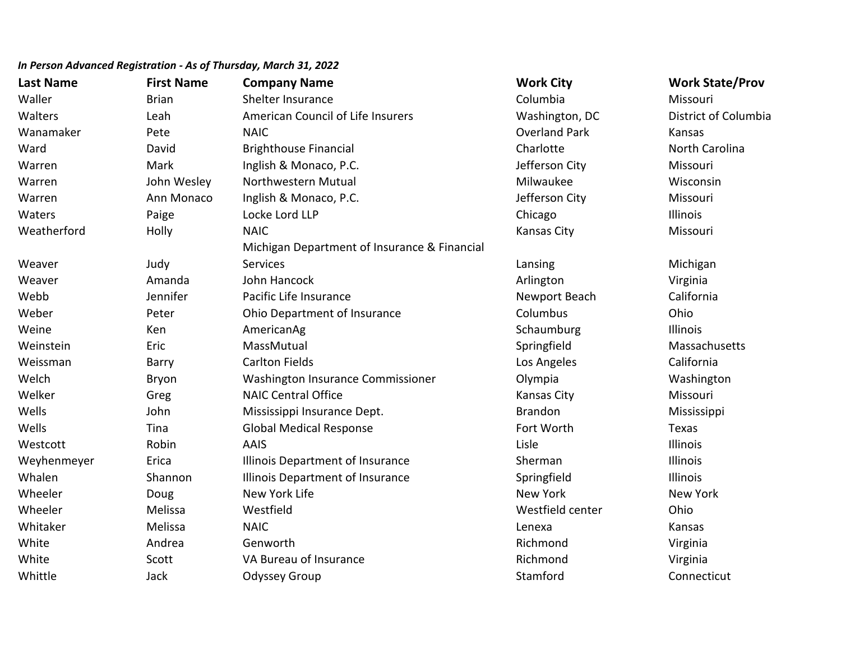| <b>Last Name</b> | <b>First Name</b> | <b>Company Name</b>                          | <b>Work City</b>     | <b>Work State/Prov</b> |
|------------------|-------------------|----------------------------------------------|----------------------|------------------------|
| Waller           | <b>Brian</b>      | Shelter Insurance                            | Columbia             | Missouri               |
| Walters          | Leah              | American Council of Life Insurers            | Washington, DC       | District of Columbia   |
| Wanamaker        | Pete              | <b>NAIC</b>                                  | <b>Overland Park</b> | Kansas                 |
| Ward             | David             | <b>Brighthouse Financial</b>                 | Charlotte            | North Carolina         |
| Warren           | Mark              | Inglish & Monaco, P.C.                       | Jefferson City       | Missouri               |
| Warren           | John Wesley       | Northwestern Mutual                          | Milwaukee            | Wisconsin              |
| Warren           | Ann Monaco        | Inglish & Monaco, P.C.                       | Jefferson City       | Missouri               |
| Waters           | Paige             | Locke Lord LLP                               | Chicago              | <b>Illinois</b>        |
| Weatherford      | Holly             | <b>NAIC</b>                                  | <b>Kansas City</b>   | Missouri               |
|                  |                   | Michigan Department of Insurance & Financial |                      |                        |
| Weaver           | Judy              | Services                                     | Lansing              | Michigan               |
| Weaver           | Amanda            | John Hancock                                 | Arlington            | Virginia               |
| Webb             | Jennifer          | Pacific Life Insurance                       | Newport Beach        | California             |
| Weber            | Peter             | Ohio Department of Insurance                 | Columbus             | Ohio                   |
| Weine            | Ken               | AmericanAg                                   | Schaumburg           | Illinois               |
| Weinstein        | Eric              | MassMutual                                   | Springfield          | Massachusetts          |
| Weissman         | Barry             | <b>Carlton Fields</b>                        | Los Angeles          | California             |
| Welch            | Bryon             | Washington Insurance Commissioner            | Olympia              | Washington             |
| Welker           | Greg              | <b>NAIC Central Office</b>                   | Kansas City          | Missouri               |
| Wells            | John              | Mississippi Insurance Dept.                  | <b>Brandon</b>       | Mississippi            |
| Wells            | Tina              | <b>Global Medical Response</b>               | Fort Worth           | Texas                  |
| Westcott         | Robin             | <b>AAIS</b>                                  | Lisle                | Illinois               |
| Weyhenmeyer      | Erica             | Illinois Department of Insurance             | Sherman              | Illinois               |
| Whalen           | Shannon           | Illinois Department of Insurance             | Springfield          | Illinois               |
| Wheeler          | Doug              | New York Life                                | New York             | New York               |
| Wheeler          | Melissa           | Westfield                                    | Westfield center     | Ohio                   |
| Whitaker         | Melissa           | <b>NAIC</b>                                  | Lenexa               | Kansas                 |
| White            | Andrea            | Genworth                                     | Richmond             | Virginia               |
| White            | Scott             | VA Bureau of Insurance                       | Richmond             | Virginia               |
| Whittle          | Jack              | <b>Odyssey Group</b>                         | Stamford             | Connecticut            |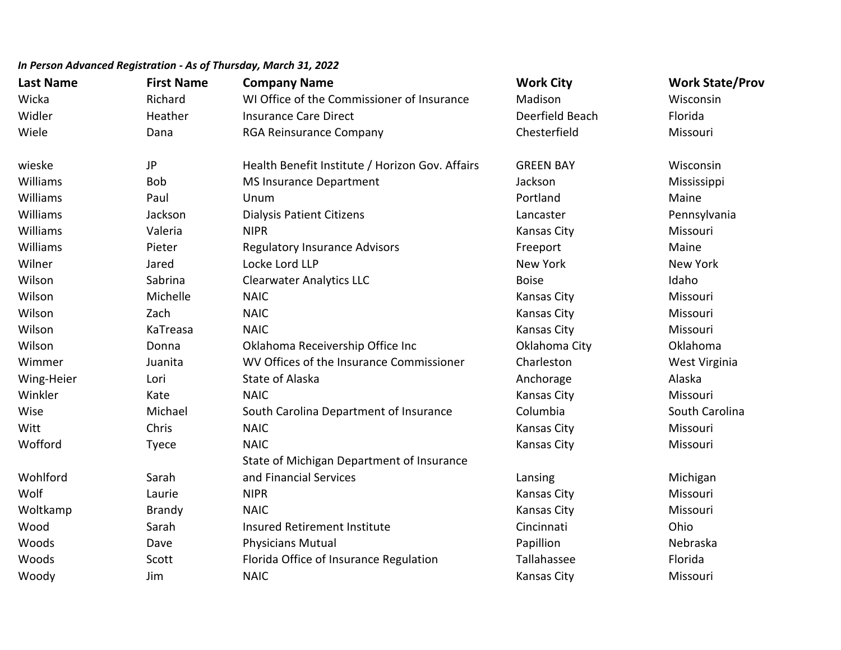| <b>Last Name</b> | <b>First Name</b> | <b>Company Name</b>                             | <b>Work City</b>   | <b>Work State/Prov</b> |
|------------------|-------------------|-------------------------------------------------|--------------------|------------------------|
| Wicka            | Richard           | WI Office of the Commissioner of Insurance      | Madison            | Wisconsin              |
| Widler           | Heather           | <b>Insurance Care Direct</b>                    | Deerfield Beach    | Florida                |
| Wiele            | Dana              | <b>RGA Reinsurance Company</b>                  | Chesterfield       | Missouri               |
| wieske           | JP                | Health Benefit Institute / Horizon Gov. Affairs | <b>GREEN BAY</b>   | Wisconsin              |
| Williams         | Bob               | <b>MS Insurance Department</b>                  | Jackson            | Mississippi            |
| Williams         | Paul              | Unum                                            | Portland           | Maine                  |
| Williams         | Jackson           | <b>Dialysis Patient Citizens</b>                | Lancaster          | Pennsylvania           |
| Williams         | Valeria           | <b>NIPR</b>                                     | Kansas City        | Missouri               |
| Williams         | Pieter            | <b>Regulatory Insurance Advisors</b>            | Freeport           | Maine                  |
| Wilner           | Jared             | Locke Lord LLP                                  | New York           | New York               |
| Wilson           | Sabrina           | <b>Clearwater Analytics LLC</b>                 | <b>Boise</b>       | Idaho                  |
| Wilson           | Michelle          | <b>NAIC</b>                                     | Kansas City        | Missouri               |
| Wilson           | Zach              | <b>NAIC</b>                                     | <b>Kansas City</b> | Missouri               |
| Wilson           | KaTreasa          | <b>NAIC</b>                                     | Kansas City        | Missouri               |
| Wilson           | Donna             | Oklahoma Receivership Office Inc                | Oklahoma City      | Oklahoma               |
| Wimmer           | Juanita           | WV Offices of the Insurance Commissioner        | Charleston         | West Virginia          |
| Wing-Heier       | Lori              | <b>State of Alaska</b>                          | Anchorage          | Alaska                 |
| Winkler          | Kate              | <b>NAIC</b>                                     | <b>Kansas City</b> | Missouri               |
| Wise             | Michael           | South Carolina Department of Insurance          | Columbia           | South Carolina         |
| Witt             | Chris             | <b>NAIC</b>                                     | Kansas City        | Missouri               |
| Wofford          | <b>Tyece</b>      | <b>NAIC</b>                                     | <b>Kansas City</b> | Missouri               |
|                  |                   | State of Michigan Department of Insurance       |                    |                        |
| Wohlford         | Sarah             | and Financial Services                          | Lansing            | Michigan               |
| Wolf             | Laurie            | <b>NIPR</b>                                     | <b>Kansas City</b> | Missouri               |
| Woltkamp         | <b>Brandy</b>     | <b>NAIC</b>                                     | Kansas City        | Missouri               |
| Wood             | Sarah             | <b>Insured Retirement Institute</b>             | Cincinnati         | Ohio                   |
| Woods            | Dave              | <b>Physicians Mutual</b>                        | Papillion          | Nebraska               |
| Woods            | Scott             | Florida Office of Insurance Regulation          | Tallahassee        | Florida                |
| Woody            | Jim               | <b>NAIC</b>                                     | Kansas City        | Missouri               |